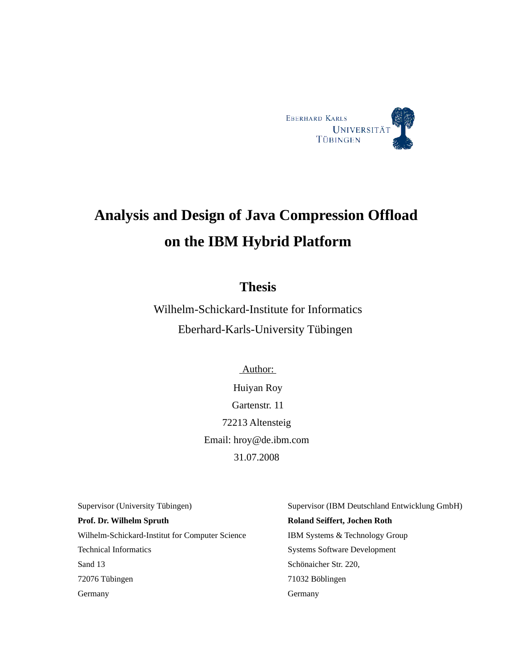

# **Analysis and Design of Java Compression Offload on the IBM Hybrid Platform**

### **Thesis**

Wilhelm-Schickard-Institute for Informatics Eberhard-Karls-University Tübingen

> Author: Huiyan Roy Gartenstr. 11 72213 Altensteig Email: hroy@de.ibm.com 31.07.2008

Supervisor (University Tübingen) **Prof. Dr. Wilhelm Spruth**  Wilhelm-Schickard-Institut for Computer Science Technical Informatics Sand 13 72076 Tübingen **Germany** 

Supervisor (IBM Deutschland Entwicklung GmbH) **Roland Seiffert, Jochen Roth** IBM Systems & Technology Group Systems Software Development Schönaicher Str. 220, 71032 Böblingen Germany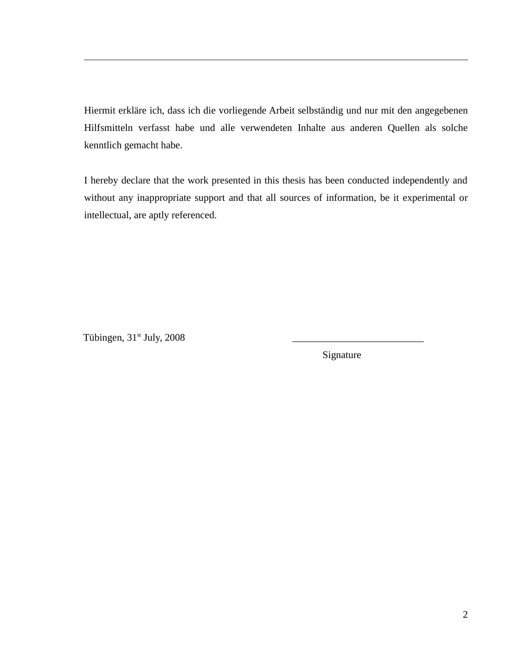Hiermit erkläre ich, dass ich die vorliegende Arbeit selbständig und nur mit den angegebenen Hilfsmitteln verfasst habe und alle verwendeten Inhalte aus anderen Quellen als solche kenntlich gemacht habe.

I hereby declare that the work presented in this thesis has been conducted independently and without any inappropriate support and that all sources of information, be it experimental or intellectual, are aptly referenced.

Tübingen, 31<sup>st</sup> July, 2008

Signature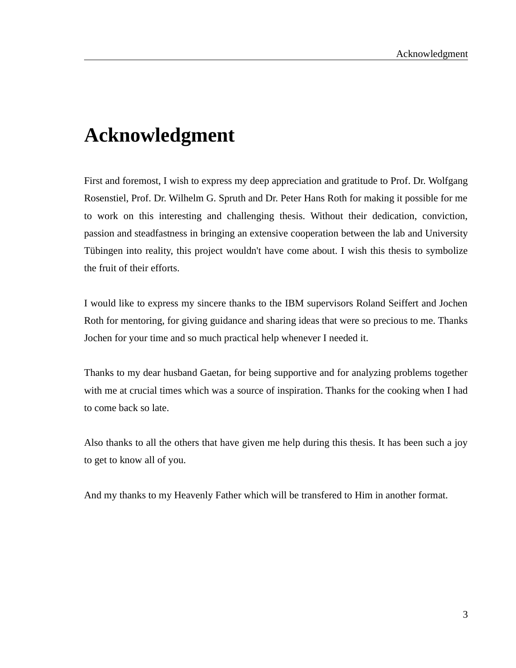# **Acknowledgment**

First and foremost, I wish to express my deep appreciation and gratitude to Prof. Dr. Wolfgang Rosenstiel, Prof. Dr. Wilhelm G. Spruth and Dr. Peter Hans Roth for making it possible for me to work on this interesting and challenging thesis. Without their dedication, conviction, passion and steadfastness in bringing an extensive cooperation between the lab and University Tübingen into reality, this project wouldn't have come about. I wish this thesis to symbolize the fruit of their efforts.

I would like to express my sincere thanks to the IBM supervisors Roland Seiffert and Jochen Roth for mentoring, for giving guidance and sharing ideas that were so precious to me. Thanks Jochen for your time and so much practical help whenever I needed it.

Thanks to my dear husband Gaetan, for being supportive and for analyzing problems together with me at crucial times which was a source of inspiration. Thanks for the cooking when I had to come back so late.

Also thanks to all the others that have given me help during this thesis. It has been such a joy to get to know all of you.

And my thanks to my Heavenly Father which will be transfered to Him in another format.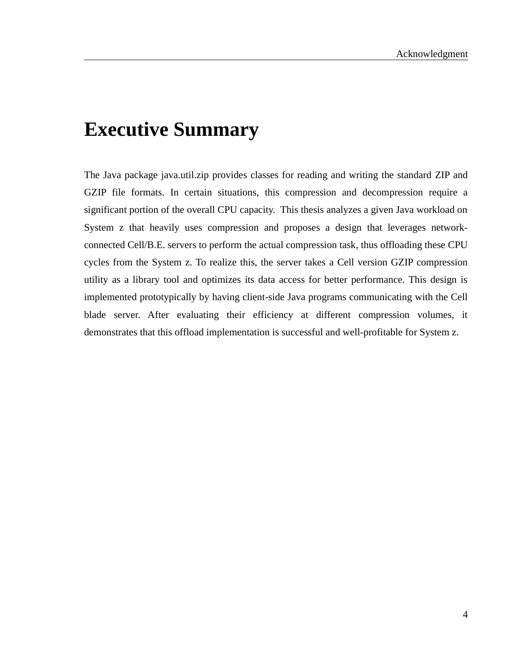# **Executive Summary**

The Java package java.util.zip provides classes for reading and writing the standard ZIP and GZIP file formats. In certain situations, this compression and decompression require a significant portion of the overall CPU capacity. This thesis analyzes a given Java workload on System z that heavily uses compression and proposes a design that leverages networkconnected Cell/B.E. servers to perform the actual compression task, thus offloading these CPU cycles from the System z. To realize this, the server takes a Cell version GZIP compression utility as a library tool and optimizes its data access for better performance. This design is implemented prototypically by having client-side Java programs communicating with the Cell blade server. After evaluating their efficiency at different compression volumes, it demonstrates that this offload implementation is successful and well-profitable for System z.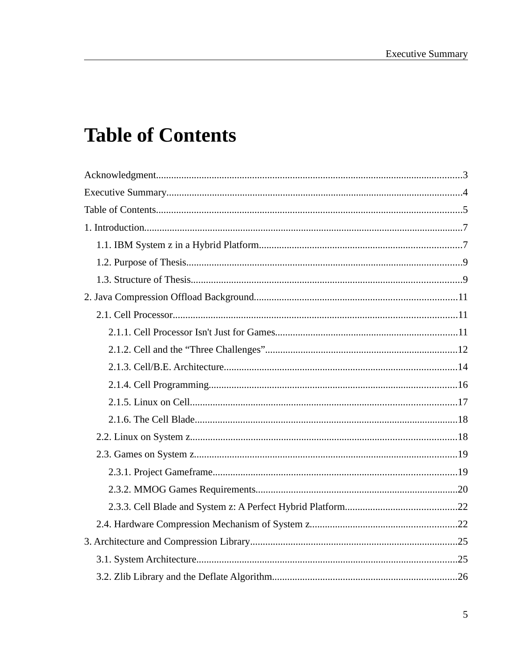# **Table of Contents**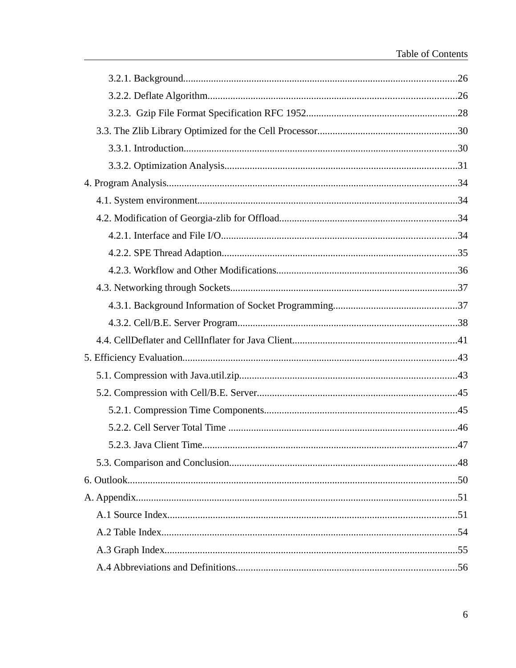| 5.2.3. Java Client Time. | 47 |
|--------------------------|----|
|                          |    |
|                          |    |
|                          |    |
|                          |    |
|                          |    |
|                          |    |
|                          |    |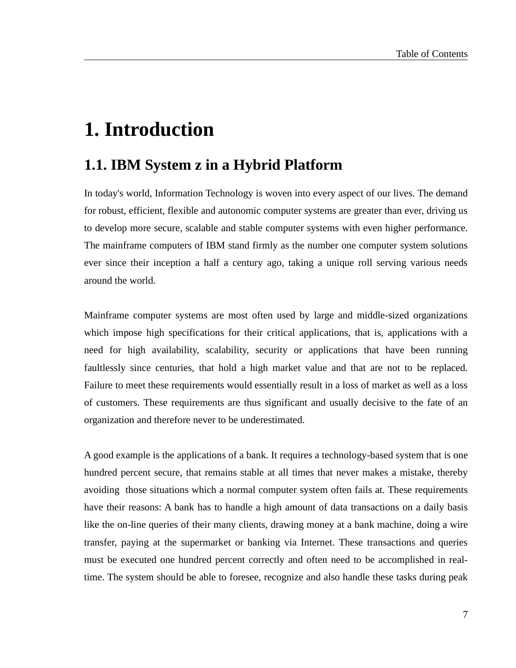# **1. Introduction**

## **1.1. IBM System z in a Hybrid Platform**

In today's world, Information Technology is woven into every aspect of our lives. The demand for robust, efficient, flexible and autonomic computer systems are greater than ever, driving us to develop more secure, scalable and stable computer systems with even higher performance. The mainframe computers of IBM stand firmly as the number one computer system solutions ever since their inception a half a century ago, taking a unique roll serving various needs around the world.

Mainframe computer systems are most often used by large and middle-sized organizations which impose high specifications for their critical applications, that is, applications with a need for high availability, scalability, security or applications that have been running faultlessly since centuries, that hold a high market value and that are not to be replaced. Failure to meet these requirements would essentially result in a loss of market as well as a loss of customers. These requirements are thus significant and usually decisive to the fate of an organization and therefore never to be underestimated.

A good example is the applications of a bank. It requires a technology-based system that is one hundred percent secure, that remains stable at all times that never makes a mistake, thereby avoiding those situations which a normal computer system often fails at. These requirements have their reasons: A bank has to handle a high amount of data transactions on a daily basis like the on-line queries of their many clients, drawing money at a bank machine, doing a wire transfer, paying at the supermarket or banking via Internet. These transactions and queries must be executed one hundred percent correctly and often need to be accomplished in realtime. The system should be able to foresee, recognize and also handle these tasks during peak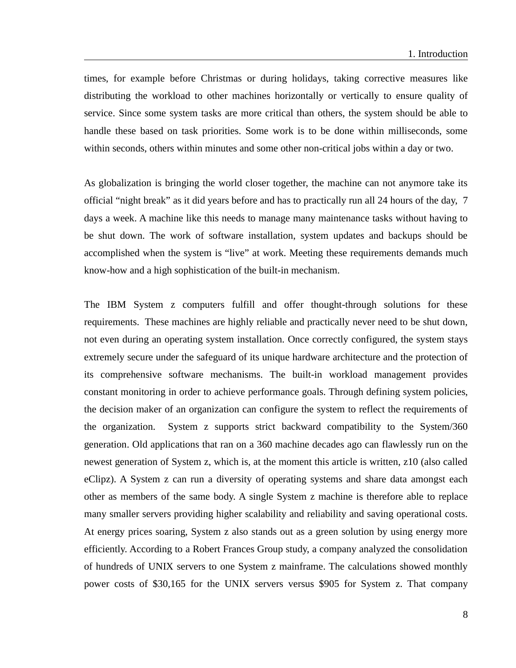times, for example before Christmas or during holidays, taking corrective measures like distributing the workload to other machines horizontally or vertically to ensure quality of service. Since some system tasks are more critical than others, the system should be able to handle these based on task priorities. Some work is to be done within milliseconds, some within seconds, others within minutes and some other non-critical jobs within a day or two.

As globalization is bringing the world closer together, the machine can not anymore take its official "night break" as it did years before and has to practically run all 24 hours of the day, 7 days a week. A machine like this needs to manage many maintenance tasks without having to be shut down. The work of software installation, system updates and backups should be accomplished when the system is "live" at work. Meeting these requirements demands much know-how and a high sophistication of the built-in mechanism.

The IBM System z computers fulfill and offer thought-through solutions for these requirements. These machines are highly reliable and practically never need to be shut down, not even during an operating system installation. Once correctly configured, the system stays extremely secure under the safeguard of its unique hardware architecture and the protection of its comprehensive software mechanisms. The built-in workload management provides constant monitoring in order to achieve performance goals. Through defining system policies, the decision maker of an organization can configure the system to reflect the requirements of the organization. System z supports strict backward compatibility to the System/360 generation. Old applications that ran on a 360 machine decades ago can flawlessly run on the newest generation of System z, which is, at the moment this article is written, z10 (also called eClipz). A System z can run a diversity of operating systems and share data amongst each other as members of the same body. A single System z machine is therefore able to replace many smaller servers providing higher scalability and reliability and saving operational costs. At energy prices soaring, System z also stands out as a green solution by using energy more efficiently. According to a Robert Frances Group study, a company analyzed the consolidation of hundreds of UNIX servers to one System z mainframe. The calculations showed monthly power costs of \$30,165 for the UNIX servers versus \$905 for System z. That company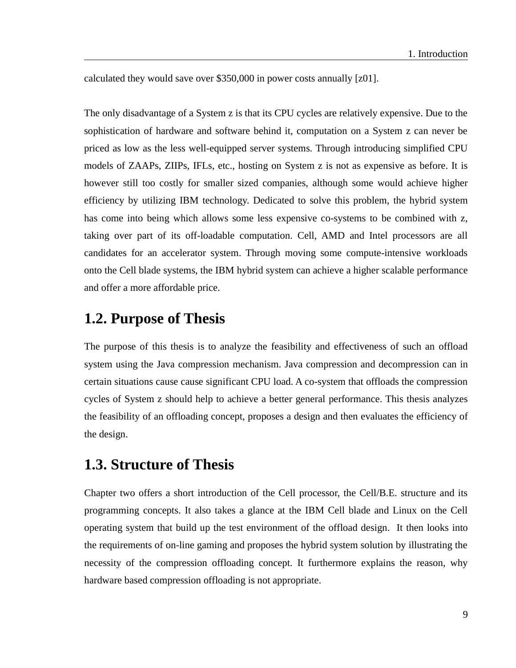calculated they would save over \$350,000 in power costs annually [\[z01\].](#page-49-0)

The only disadvantage of a System z is that its CPU cycles are relatively expensive. Due to the sophistication of hardware and software behind it, computation on a System z can never be priced as low as the less well-equipped server systems. Through introducing simplified CPU models of ZAAPs, ZIIPs, IFLs, etc., hosting on System z is not as expensive as before. It is however still too costly for smaller sized companies, although some would achieve higher efficiency by utilizing IBM technology. Dedicated to solve this problem, the hybrid system has come into being which allows some less expensive co-systems to be combined with z, taking over part of its off-loadable computation. Cell, AMD and Intel processors are all candidates for an accelerator system. Through moving some compute-intensive workloads onto the Cell blade systems, the IBM hybrid system can achieve a higher scalable performance and offer a more affordable price.

## **1.2. Purpose of Thesis**

The purpose of this thesis is to analyze the feasibility and effectiveness of such an offload system using the Java compression mechanism. Java compression and decompression can in certain situations cause cause significant CPU load. A co-system that offloads the compression cycles of System z should help to achieve a better general performance. This thesis analyzes the feasibility of an offloading concept, proposes a design and then evaluates the efficiency of the design.

## **1.3. Structure of Thesis**

Chapter two offers a short introduction of the Cell processor, the Cell/B.E. structure and its programming concepts. It also takes a glance at the IBM Cell blade and Linux on the Cell operating system that build up the test environment of the offload design. It then looks into the requirements of on-line gaming and proposes the hybrid system solution by illustrating the necessity of the compression offloading concept. It furthermore explains the reason, why hardware based compression offloading is not appropriate.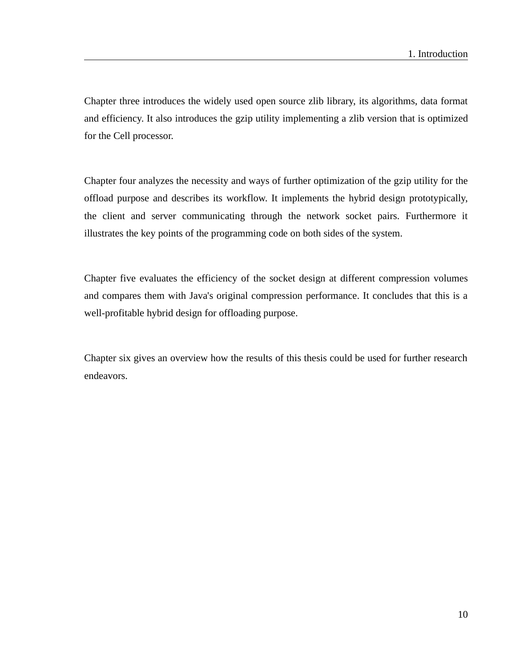Chapter three introduces the widely used open source zlib library, its algorithms, data format and efficiency. It also introduces the gzip utility implementing a zlib version that is optimized for the Cell processor.

Chapter four analyzes the necessity and ways of further optimization of the gzip utility for the offload purpose and describes its workflow. It implements the hybrid design prototypically, the client and server communicating through the network socket pairs. Furthermore it illustrates the key points of the programming code on both sides of the system.

Chapter five evaluates the efficiency of the socket design at different compression volumes and compares them with Java's original compression performance. It concludes that this is a well-profitable hybrid design for offloading purpose.

Chapter six gives an overview how the results of this thesis could be used for further research endeavors.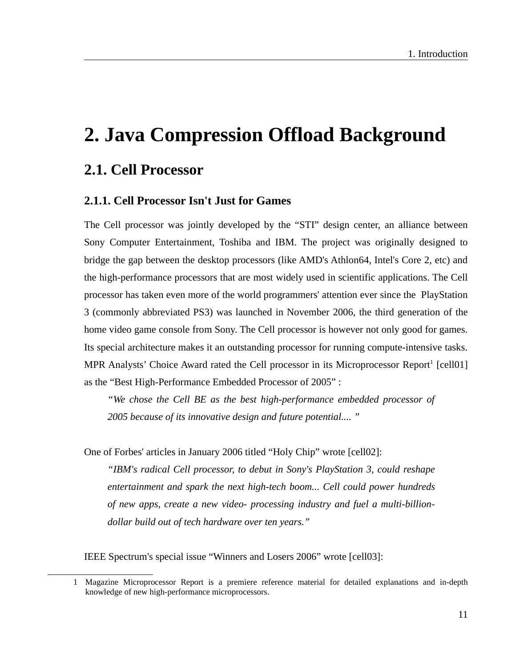# **2. Java Compression Offload Background**

## **2.1. Cell Processor**

### **2.1.1. Cell Processor Isn't Just for Games**

The Cell processor was jointly developed by the "STI" design center, an alliance between Sony Computer Entertainment, Toshiba and IBM. The project was originally designed to bridge the gap between the desktop processors (like AMD's Athlon64, Intel's Core 2, etc) and the high-performance processors that are most widely used in scientific applications. The Cell processor has taken even more of the world programmers' attention ever since the PlayStation 3 (commonly abbreviated PS3) was launched in November 2006, the third generation of the home video game console from Sony. The Cell processor is however not only good for games. Its special architecture makes it an outstanding processor for running compute-intensive tasks. MPR Analysts' Choice Award rated the Cell processor in its Microprocessor Report<sup>[1](#page-10-0)</sup> [\[cell01\]](#page-49-3) as the "Best High-Performance Embedded Processor of 2005" :

*"We chose the Cell BE as the best high-performance embedded processor of 2005 because of its innovative design and future potential.... "*

One of Forbes' articles in January 2006 titled "Holy Chip" wrote [\[cell02\]](#page-49-2):

*"IBM's radical Cell processor, to debut in Sony's PlayStation 3, could reshape entertainment and spark the next high-tech boom... Cell could power hundreds of new apps, create a new video- processing industry and fuel a multi-billiondollar build out of tech hardware over ten years."* 

IEEE Spectrum's special issue "Winners and Losers 2006" wrote [\[cell03\]](#page-49-1):

<span id="page-10-0"></span><sup>1</sup> Magazine Microprocessor Report is a premiere reference material for detailed explanations and in-depth knowledge of new high-performance microprocessors.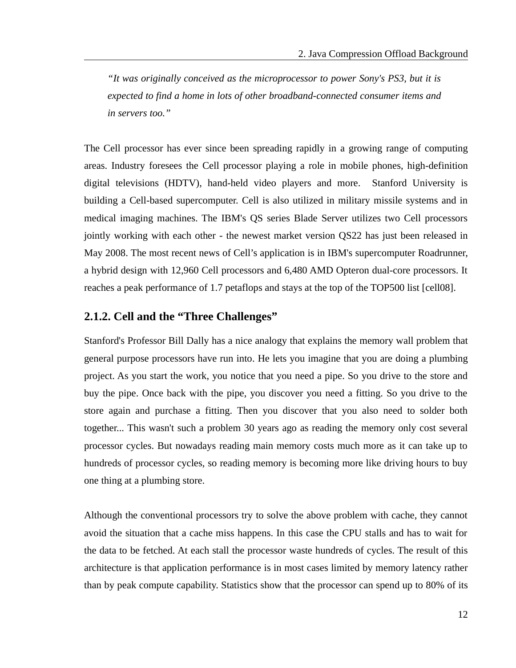*"It was originally conceived as the microprocessor to power Sony's PS3, but it is expected to find a home in lots of other broadband-connected consumer items and in servers too."*

The Cell processor has ever since been spreading rapidly in a growing range of computing areas. Industry foresees the Cell processor playing a role in mobile phones, high-definition digital televisions (HDTV), hand-held video players and more. Stanford University is building a Cell-based supercomputer. Cell is also utilized in military missile systems and in medical imaging machines. The IBM's QS series Blade Server utilizes two Cell processors jointly working with each other - the newest market version QS22 has just been released in May 2008. The most recent news of Cell's application is in IBM's supercomputer Roadrunner, a hybrid design with 12,960 Cell processors and 6,480 AMD Opteron dual-core processors. It reaches a peak performance of 1.7 petaflops and stays at the top of the TOP500 list [\[cell08\]](#page-50-0).

### **2.1.2. Cell and the "Three Challenges"**

Stanford's Professor Bill Dally has a nice analogy that explains the memory wall problem that general purpose processors have run into. He lets you imagine that you are doing a plumbing project. As you start the work, you notice that you need a pipe. So you drive to the store and buy the pipe. Once back with the pipe, you discover you need a fitting. So you drive to the store again and purchase a fitting. Then you discover that you also need to solder both together... This wasn't such a problem 30 years ago as reading the memory only cost several processor cycles. But nowadays reading main memory costs much more as it can take up to hundreds of processor cycles, so reading memory is becoming more like driving hours to buy one thing at a plumbing store.

Although the conventional processors try to solve the above problem with cache, they cannot avoid the situation that a cache miss happens. In this case the CPU stalls and has to wait for the data to be fetched. At each stall the processor waste hundreds of cycles. The result of this architecture is that application performance is in most cases limited by memory latency rather than by peak compute capability. Statistics show that the processor can spend up to 80% of its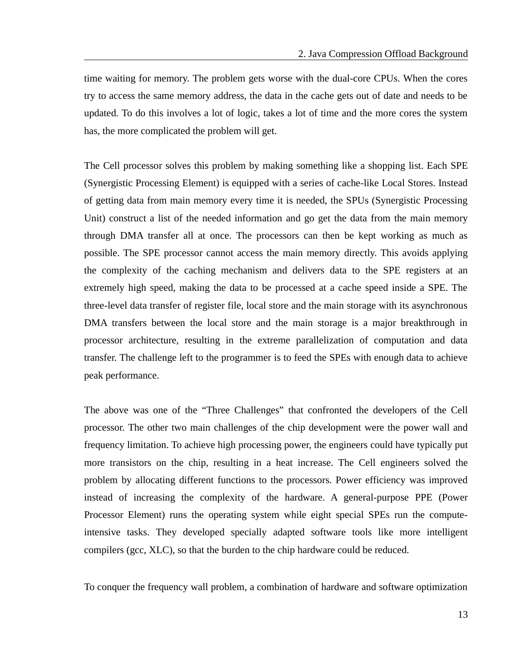time waiting for memory. The problem gets worse with the dual-core CPUs. When the cores try to access the same memory address, the data in the cache gets out of date and needs to be updated. To do this involves a lot of logic, takes a lot of time and the more cores the system has, the more complicated the problem will get.

The Cell processor solves this problem by making something like a shopping list. Each SPE (Synergistic Processing Element) is equipped with a series of cache-like Local Stores. Instead of getting data from main memory every time it is needed, the SPUs (Synergistic Processing Unit) construct a list of the needed information and go get the data from the main memory through DMA transfer all at once. The processors can then be kept working as much as possible. The SPE processor cannot access the main memory directly. This avoids applying the complexity of the caching mechanism and delivers data to the SPE registers at an extremely high speed, making the data to be processed at a cache speed inside a SPE. The three-level data transfer of register file, local store and the main storage with its asynchronous DMA transfers between the local store and the main storage is a major breakthrough in processor architecture, resulting in the extreme parallelization of computation and data transfer. The challenge left to the programmer is to feed the SPEs with enough data to achieve peak performance.

The above was one of the "Three Challenges" that confronted the developers of the Cell processor. The other two main challenges of the chip development were the power wall and frequency limitation. To achieve high processing power, the engineers could have typically put more transistors on the chip, resulting in a heat increase. The Cell engineers solved the problem by allocating different functions to the processors. Power efficiency was improved instead of increasing the complexity of the hardware. A general-purpose PPE (Power Processor Element) runs the operating system while eight special SPEs run the computeintensive tasks. They developed specially adapted software tools like more intelligent compilers (gcc, XLC), so that the burden to the chip hardware could be reduced.

To conquer the frequency wall problem, a combination of hardware and software optimization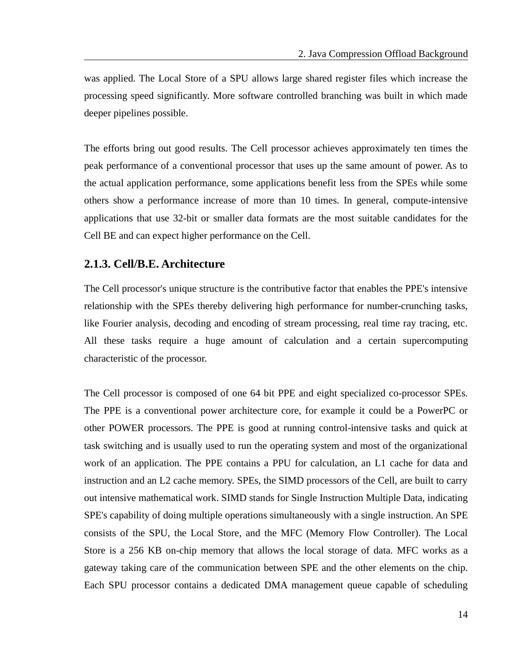was applied. The Local Store of a SPU allows large shared register files which increase the processing speed significantly. More software controlled branching was built in which made deeper pipelines possible.

The efforts bring out good results. The Cell processor achieves approximately ten times the peak performance of a conventional processor that uses up the same amount of power. As to the actual application performance, some applications benefit less from the SPEs while some others show a performance increase of more than 10 times. In general, compute-intensive applications that use 32-bit or smaller data formats are the most suitable candidates for the Cell BE and can expect higher performance on the Cell.

#### **2.1.3. Cell/B.E. Architecture**

The Cell processor's unique structure is the contributive factor that enables the PPE's intensive relationship with the SPEs thereby delivering high performance for number-crunching tasks, like Fourier analysis, decoding and encoding of stream processing, real time ray tracing, etc. All these tasks require a huge amount of calculation and a certain supercomputing characteristic of the processor.

The Cell processor is composed of one 64 bit PPE and eight specialized co-processor SPEs. The PPE is a conventional power architecture core, for example it could be a PowerPC or other POWER processors. The PPE is good at running control-intensive tasks and quick at task switching and is usually used to run the operating system and most of the organizational work of an application. The PPE contains a PPU for calculation, an L1 cache for data and instruction and an L2 cache memory. SPEs, the SIMD processors of the Cell, are built to carry out intensive mathematical work. SIMD stands for Single Instruction Multiple Data, indicating SPE's capability of doing multiple operations simultaneously with a single instruction. An SPE consists of the SPU, the Local Store, and the MFC (Memory Flow Controller). The Local Store is a 256 KB on-chip memory that allows the local storage of data. MFC works as a gateway taking care of the communication between SPE and the other elements on the chip. Each SPU processor contains a dedicated DMA management queue capable of scheduling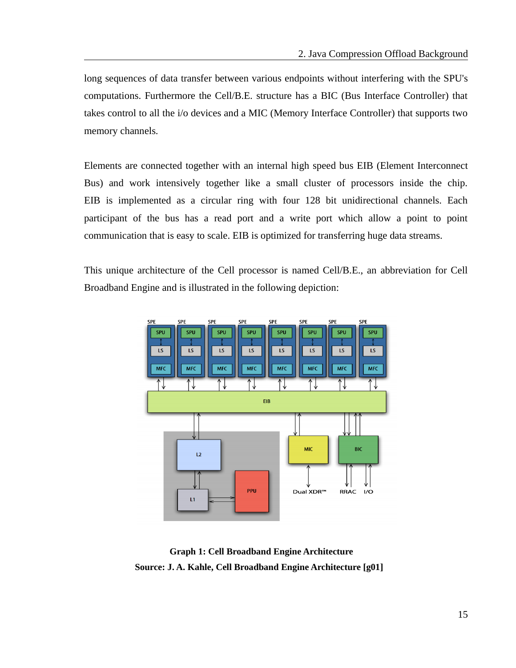long sequences of data transfer between various endpoints without interfering with the SPU's computations. Furthermore the Cell/B.E. structure has a BIC (Bus Interface Controller) that takes control to all the i/o devices and a MIC (Memory Interface Controller) that supports two memory channels.

Elements are connected together with an internal high speed bus EIB (Element Interconnect Bus) and work intensively together like a small cluster of processors inside the chip. EIB is implemented as a circular ring with four 128 bit unidirectional channels. Each participant of the bus has a read port and a write port which allow a point to point communication that is easy to scale. EIB is optimized for transferring huge data streams.

This unique architecture of the Cell processor is named Cell/B.E., an abbreviation for Cell Broadband Engine and is illustrated in the following depiction:



 **Graph 1: Cell Broadband Engine Architecture Source: J. A. Kahle, Cell Broadband Engine Architecture [\[g01\]](#page-50-1)**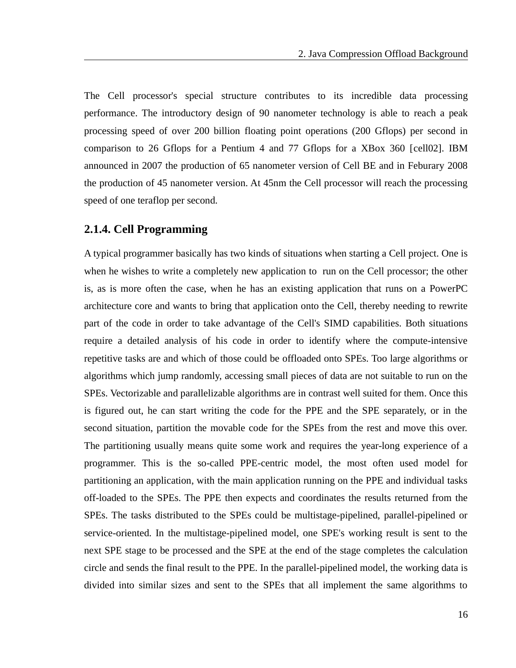The Cell processor's special structure contributes to its incredible data processing performance. The introductory design of 90 nanometer technology is able to reach a peak processing speed of over 200 billion floating point operations (200 Gflops) per second in comparison to 26 Gflops for a Pentium 4 and 77 Gflops for a XBox 360 [\[cell02\]](#page-49-2). IBM announced in 2007 the production of 65 nanometer version of Cell BE and in Feburary 2008 the production of 45 nanometer version. At 45nm the Cell processor will reach the processing speed of one teraflop per second.

#### **2.1.4. Cell Programming**

A typical programmer basically has two kinds of situations when starting a Cell project. One is when he wishes to write a completely new application to run on the Cell processor; the other is, as is more often the case, when he has an existing application that runs on a PowerPC architecture core and wants to bring that application onto the Cell, thereby needing to rewrite part of the code in order to take advantage of the Cell's SIMD capabilities. Both situations require a detailed analysis of his code in order to identify where the compute-intensive repetitive tasks are and which of those could be offloaded onto SPEs. Too large algorithms or algorithms which jump randomly, accessing small pieces of data are not suitable to run on the SPEs. Vectorizable and parallelizable algorithms are in contrast well suited for them. Once this is figured out, he can start writing the code for the PPE and the SPE separately, or in the second situation, partition the movable code for the SPEs from the rest and move this over. The partitioning usually means quite some work and requires the year-long experience of a programmer. This is the so-called PPE-centric model, the most often used model for partitioning an application, with the main application running on the PPE and individual tasks off-loaded to the SPEs. The PPE then expects and coordinates the results returned from the SPEs. The tasks distributed to the SPEs could be multistage-pipelined, parallel-pipelined or service-oriented. In the multistage-pipelined model, one SPE's working result is sent to the next SPE stage to be processed and the SPE at the end of the stage completes the calculation circle and sends the final result to the PPE. In the parallel-pipelined model, the working data is divided into similar sizes and sent to the SPEs that all implement the same algorithms to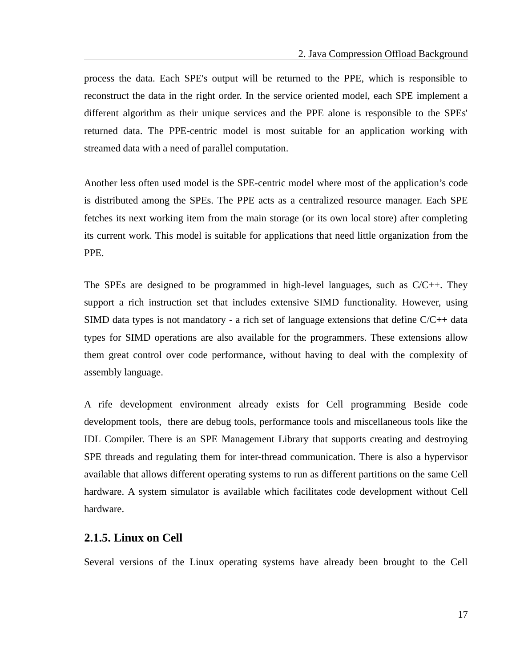process the data. Each SPE's output will be returned to the PPE, which is responsible to reconstruct the data in the right order. In the service oriented model, each SPE implement a different algorithm as their unique services and the PPE alone is responsible to the SPEs' returned data. The PPE-centric model is most suitable for an application working with streamed data with a need of parallel computation.

Another less often used model is the SPE-centric model where most of the application's code is distributed among the SPEs. The PPE acts as a centralized resource manager. Each SPE fetches its next working item from the main storage (or its own local store) after completing its current work. This model is suitable for applications that need little organization from the PPE.

The SPEs are designed to be programmed in high-level languages, such as  $C/C++$ . They support a rich instruction set that includes extensive SIMD functionality. However, using SIMD data types is not mandatory - a rich set of language extensions that define C/C++ data types for SIMD operations are also available for the programmers. These extensions allow them great control over code performance, without having to deal with the complexity of assembly language.

A rife development environment already exists for Cell programming Beside code development tools, there are debug tools, performance tools and miscellaneous tools like the IDL Compiler. There is an SPE Management Library that supports creating and destroying SPE threads and regulating them for inter-thread communication. There is also a hypervisor available that allows different operating systems to run as different partitions on the same Cell hardware. A system simulator is available which facilitates code development without Cell hardware.

#### **2.1.5. Linux on Cell**

Several versions of the Linux operating systems have already been brought to the Cell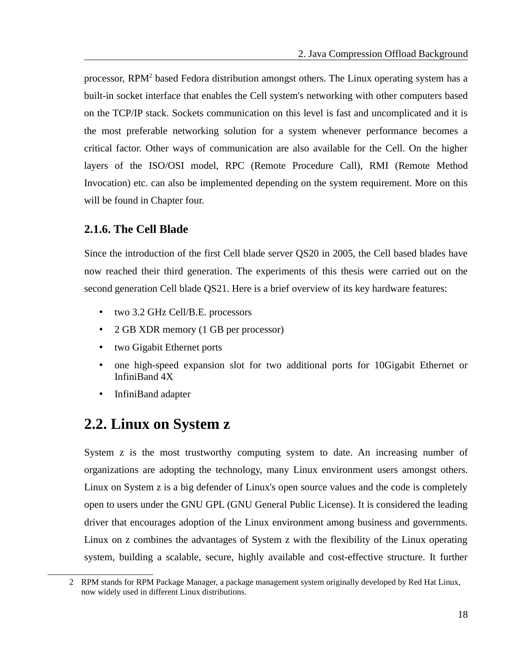processor, RPM<sup>[2](#page-17-0)</sup> based Fedora distribution amongst others. The Linux operating system has a built-in socket interface that enables the Cell system's networking with other computers based on the TCP/IP stack. Sockets communication on this level is fast and uncomplicated and it is the most preferable networking solution for a system whenever performance becomes a critical factor. Other ways of communication are also available for the Cell. On the higher layers of the ISO/OSI model, RPC (Remote Procedure Call), RMI (Remote Method Invocation) etc. can also be implemented depending on the system requirement. More on this will be found in Chapter four.

### **2.1.6. The Cell Blade**

Since the introduction of the first Cell blade server QS20 in 2005, the Cell based blades have now reached their third generation. The experiments of this thesis were carried out on the second generation Cell blade QS21. Here is a brief overview of its key hardware features:

- two 3.2 GHz Cell/B.E. processors
- 2 GB XDR memory (1 GB per processor)
- two Gigabit Ethernet ports
- one high-speed expansion slot for two additional ports for 10Gigabit Ethernet or InfiniBand 4X
- InfiniBand adapter

## **2.2. Linux on System z**

System z is the most trustworthy computing system to date. An increasing number of organizations are adopting the technology, many Linux environment users amongst others. Linux on System z is a big defender of Linux's open source values and the code is completely open to users under the GNU GPL (GNU General Public License). It is considered the leading driver that encourages adoption of the Linux environment among business and governments. Linux on z combines the advantages of System z with the flexibility of the Linux operating system, building a scalable, secure, highly available and cost-effective structure. It further

<span id="page-17-0"></span><sup>2</sup> RPM stands for RPM Package Manager, a package management system originally developed by Red Hat Linux, now widely used in different Linux distributions.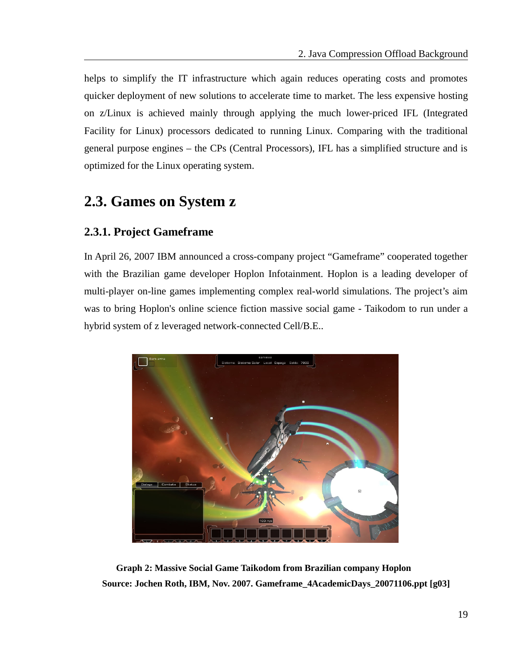helps to simplify the IT infrastructure which again reduces operating costs and promotes quicker deployment of new solutions to accelerate time to market. The less expensive hosting on z/Linux is achieved mainly through applying the much lower-priced IFL (Integrated Facility for Linux) processors dedicated to running Linux. Comparing with the traditional general purpose engines – the CPs (Central Processors), IFL has a simplified structure and is optimized for the Linux operating system.

## **2.3. Games on System z**

### **2.3.1. Project Gameframe**

In April 26, 2007 IBM announced a cross-company project "Gameframe" cooperated together with the Brazilian game developer Hoplon Infotainment. Hoplon is a leading developer of multi-player on-line games implementing complex real-world simulations. The project's aim was to bring Hoplon's online science fiction massive social game - Taikodom to run under a hybrid system of z leveraged network-connected Cell/B.E..



 **Graph 2: Massive Social Game Taikodom from Brazilian company Hoplon Source: Jochen Roth, IBM, Nov. 2007. Gameframe\_4AcademicDays\_20071106.ppt [\[g03\]](#page-50-2)**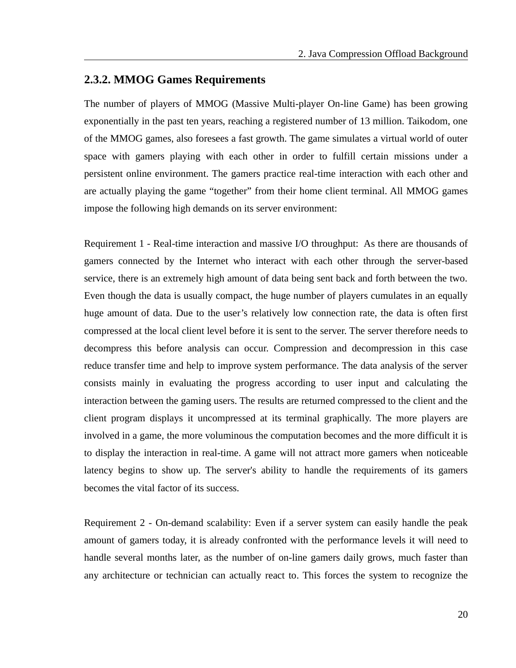#### **2.3.2. MMOG Games Requirements**

The number of players of MMOG (Massive Multi-player On-line Game) has been growing exponentially in the past ten years, reaching a registered number of 13 million. Taikodom, one of the MMOG games, also foresees a fast growth. The game simulates a virtual world of outer space with gamers playing with each other in order to fulfill certain missions under a persistent online environment. The gamers practice real-time interaction with each other and are actually playing the game "together" from their home client terminal. All MMOG games impose the following high demands on its server environment:

Requirement 1 - Real-time interaction and massive I/O throughput: As there are thousands of gamers connected by the Internet who interact with each other through the server-based service, there is an extremely high amount of data being sent back and forth between the two. Even though the data is usually compact, the huge number of players cumulates in an equally huge amount of data. Due to the user's relatively low connection rate, the data is often first compressed at the local client level before it is sent to the server. The server therefore needs to decompress this before analysis can occur. Compression and decompression in this case reduce transfer time and help to improve system performance. The data analysis of the server consists mainly in evaluating the progress according to user input and calculating the interaction between the gaming users. The results are returned compressed to the client and the client program displays it uncompressed at its terminal graphically. The more players are involved in a game, the more voluminous the computation becomes and the more difficult it is to display the interaction in real-time. A game will not attract more gamers when noticeable latency begins to show up. The server's ability to handle the requirements of its gamers becomes the vital factor of its success.

Requirement 2 - On-demand scalability: Even if a server system can easily handle the peak amount of gamers today, it is already confronted with the performance levels it will need to handle several months later, as the number of on-line gamers daily grows, much faster than any architecture or technician can actually react to. This forces the system to recognize the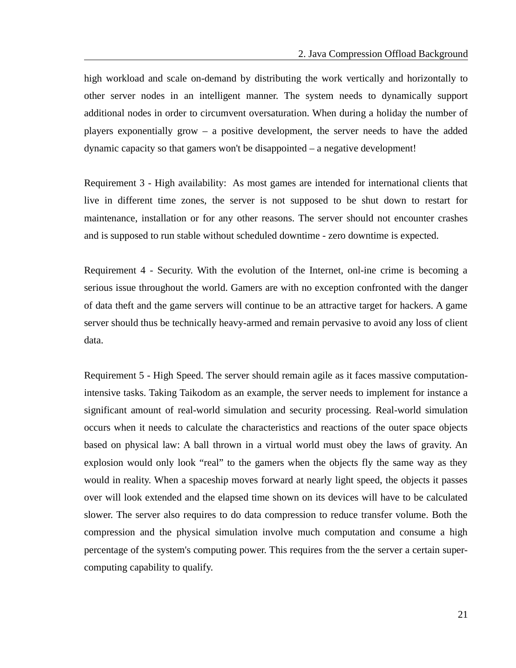high workload and scale on-demand by distributing the work vertically and horizontally to other server nodes in an intelligent manner. The system needs to dynamically support additional nodes in order to circumvent oversaturation. When during a holiday the number of players exponentially grow – a positive development, the server needs to have the added dynamic capacity so that gamers won't be disappointed – a negative development!

Requirement 3 - High availability: As most games are intended for international clients that live in different time zones, the server is not supposed to be shut down to restart for maintenance, installation or for any other reasons. The server should not encounter crashes and is supposed to run stable without scheduled downtime - zero downtime is expected.

Requirement 4 - Security. With the evolution of the Internet, onl-ine crime is becoming a serious issue throughout the world. Gamers are with no exception confronted with the danger of data theft and the game servers will continue to be an attractive target for hackers. A game server should thus be technically heavy-armed and remain pervasive to avoid any loss of client data.

Requirement 5 - High Speed. The server should remain agile as it faces massive computationintensive tasks. Taking Taikodom as an example, the server needs to implement for instance a significant amount of real-world simulation and security processing. Real-world simulation occurs when it needs to calculate the characteristics and reactions of the outer space objects based on physical law: A ball thrown in a virtual world must obey the laws of gravity. An explosion would only look "real" to the gamers when the objects fly the same way as they would in reality. When a spaceship moves forward at nearly light speed, the objects it passes over will look extended and the elapsed time shown on its devices will have to be calculated slower. The server also requires to do data compression to reduce transfer volume. Both the compression and the physical simulation involve much computation and consume a high percentage of the system's computing power. This requires from the the server a certain supercomputing capability to qualify.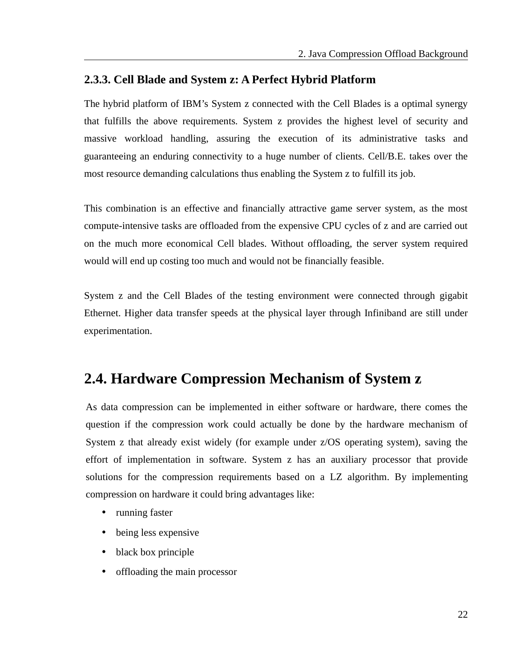#### **2.3.3. Cell Blade and System z: A Perfect Hybrid Platform**

The hybrid platform of IBM's System z connected with the Cell Blades is a optimal synergy that fulfills the above requirements. System z provides the highest level of security and massive workload handling, assuring the execution of its administrative tasks and guaranteeing an enduring connectivity to a huge number of clients. Cell/B.E. takes over the most resource demanding calculations thus enabling the System z to fulfill its job.

This combination is an effective and financially attractive game server system, as the most compute-intensive tasks are offloaded from the expensive CPU cycles of z and are carried out on the much more economical Cell blades. Without offloading, the server system required would will end up costing too much and would not be financially feasible.

System z and the Cell Blades of the testing environment were connected through gigabit Ethernet. Higher data transfer speeds at the physical layer through Infiniband are still under experimentation.

## **2.4. Hardware Compression Mechanism of System z**

As data compression can be implemented in either software or hardware, there comes the question if the compression work could actually be done by the hardware mechanism of System z that already exist widely (for example under z/OS operating system), saving the effort of implementation in software. System z has an auxiliary processor that provide solutions for the compression requirements based on a LZ algorithm. By implementing compression on hardware it could bring advantages like:

- running faster
- being less expensive
- black box principle
- offloading the main processor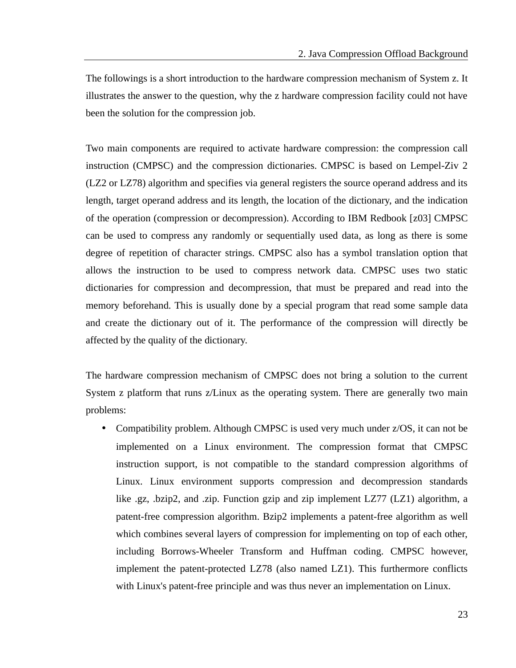The followings is a short introduction to the hardware compression mechanism of System z. It illustrates the answer to the question, why the z hardware compression facility could not have been the solution for the compression job.

Two main components are required to activate hardware compression: the compression call instruction (CMPSC) and the compression dictionaries. CMPSC is based on Lempel-Ziv 2 (LZ2 or LZ78) algorithm and specifies via general registers the source operand address and its length, target operand address and its length, the location of the dictionary, and the indication of the operation (compression or decompression). According to IBM Redbook [\[z03\]](#page-49-4) CMPSC can be used to compress any randomly or sequentially used data, as long as there is some degree of repetition of character strings. CMPSC also has a symbol translation option that allows the instruction to be used to compress network data. CMPSC uses two static dictionaries for compression and decompression, that must be prepared and read into the memory beforehand. This is usually done by a special program that read some sample data and create the dictionary out of it. The performance of the compression will directly be affected by the quality of the dictionary.

The hardware compression mechanism of CMPSC does not bring a solution to the current System z platform that runs z/Linux as the operating system. There are generally two main problems:

• Compatibility problem. Although CMPSC is used very much under z/OS, it can not be implemented on a Linux environment. The compression format that CMPSC instruction support, is not compatible to the standard compression algorithms of Linux. Linux environment supports compression and decompression standards like .gz, .bzip2, and .zip. Function gzip and zip implement LZ77 (LZ1) algorithm, a patent-free compression algorithm. Bzip2 implements a patent-free algorithm as well which combines several layers of compression for implementing on top of each other, including Borrows-Wheeler Transform and Huffman coding. CMPSC however, implement the patent-protected LZ78 (also named LZ1). This furthermore conflicts with Linux's patent-free principle and was thus never an implementation on Linux.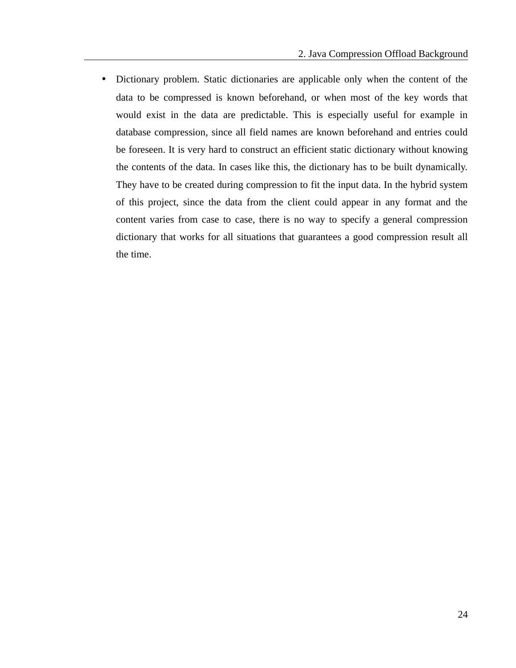• Dictionary problem. Static dictionaries are applicable only when the content of the data to be compressed is known beforehand, or when most of the key words that would exist in the data are predictable. This is especially useful for example in database compression, since all field names are known beforehand and entries could be foreseen. It is very hard to construct an efficient static dictionary without knowing the contents of the data. In cases like this, the dictionary has to be built dynamically. They have to be created during compression to fit the input data. In the hybrid system of this project, since the data from the client could appear in any format and the content varies from case to case, there is no way to specify a general compression dictionary that works for all situations that guarantees a good compression result all the time.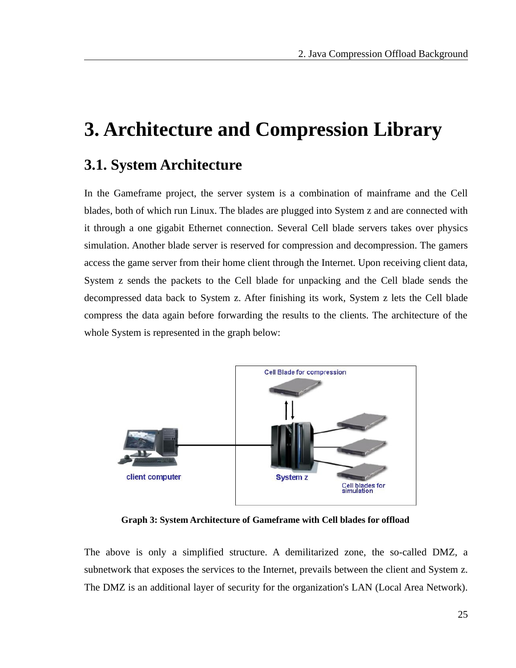# **3. Architecture and Compression Library**

## **3.1. System Architecture**

In the Gameframe project, the server system is a combination of mainframe and the Cell blades, both of which run Linux. The blades are plugged into System z and are connected with it through a one gigabit Ethernet connection. Several Cell blade servers takes over physics simulation. Another blade server is reserved for compression and decompression. The gamers access the game server from their home client through the Internet. Upon receiving client data, System z sends the packets to the Cell blade for unpacking and the Cell blade sends the decompressed data back to System z. After finishing its work, System z lets the Cell blade compress the data again before forwarding the results to the clients. The architecture of the whole System is represented in the graph below:



 **Graph 3: System Architecture of Gameframe with Cell blades for offload**

The above is only a simplified structure. A demilitarized zone, the so-called DMZ, a subnetwork that exposes the services to the Internet, prevails between the client and System z. The DMZ is an additional layer of security for the organization's LAN (Local Area Network).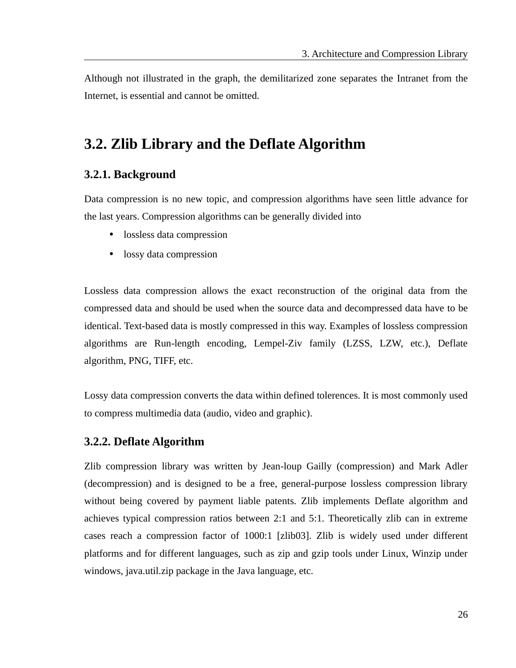Although not illustrated in the graph, the demilitarized zone separates the Intranet from the Internet, is essential and cannot be omitted.

## **3.2. Zlib Library and the Deflate Algorithm**

#### **3.2.1. Background**

Data compression is no new topic, and compression algorithms have seen little advance for the last years. Compression algorithms can be generally divided into

- lossless data compression
- lossy data compression

Lossless data compression allows the exact reconstruction of the original data from the compressed data and should be used when the source data and decompressed data have to be identical. Text-based data is mostly compressed in this way. Examples of lossless compression algorithms are Run-length encoding, Lempel-Ziv family (LZSS, LZW, etc.), Deflate algorithm, PNG, TIFF, etc.

Lossy data compression converts the data within defined tolerences. It is most commonly used to compress multimedia data (audio, video and graphic).

#### **3.2.2. Deflate Algorithm**

Zlib compression library was written by Jean-loup Gailly (compression) and Mark Adler (decompression) and is designed to be a free, general-purpose lossless compression library without being covered by payment liable patents. Zlib implements Deflate algorithm and achieves typical compression ratios between 2:1 and 5:1. Theoretically zlib can in extreme cases reach a compression factor of 1000:1 [\[zlib03\]](#page-50-3). Zlib is widely used under different platforms and for different languages, such as zip and gzip tools under Linux, Winzip under windows, java.util.zip package in the Java language, etc.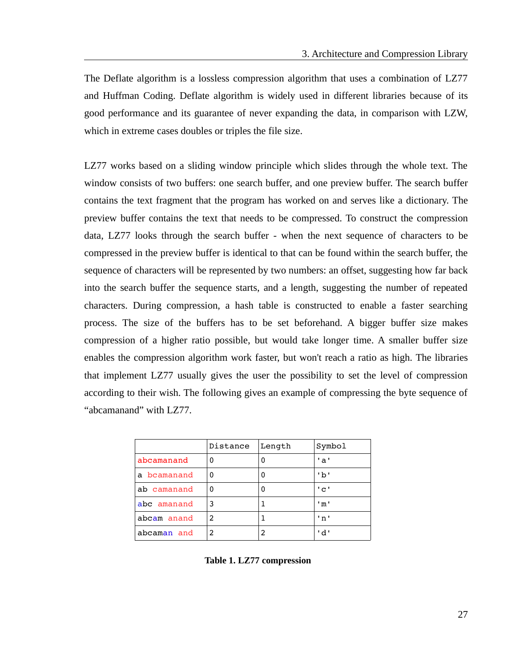The Deflate algorithm is a lossless compression algorithm that uses a combination of LZ77 and Huffman Coding. Deflate algorithm is widely used in different libraries because of its good performance and its guarantee of never expanding the data, in comparison with LZW, which in extreme cases doubles or triples the file size.

LZ77 works based on a sliding window principle which slides through the whole text. The window consists of two buffers: one search buffer, and one preview buffer. The search buffer contains the text fragment that the program has worked on and serves like a dictionary. The preview buffer contains the text that needs to be compressed. To construct the compression data, LZ77 looks through the search buffer - when the next sequence of characters to be compressed in the preview buffer is identical to that can be found within the search buffer, the sequence of characters will be represented by two numbers: an offset, suggesting how far back into the search buffer the sequence starts, and a length, suggesting the number of repeated characters. During compression, a hash table is constructed to enable a faster searching process. The size of the buffers has to be set beforehand. A bigger buffer size makes compression of a higher ratio possible, but would take longer time. A smaller buffer size enables the compression algorithm work faster, but won't reach a ratio as high. The libraries that implement LZ77 usually gives the user the possibility to set the level of compression according to their wish. The following gives an example of compressing the byte sequence of "abcamanand" with LZ77.

|             | Distance | Length | Symbol |
|-------------|----------|--------|--------|
| abcamanand  | 0        |        | 'a'    |
| a bcamanand | 0        | 0      | 'b'    |
| ab camanand | 0        |        | ' c '  |
| abc amanand | 3        |        | 'm'    |
| abcam anand | 2        |        | 'n'    |
| abcaman and | 2        | 2      | 'd'    |

**Table 1. LZ77 compression**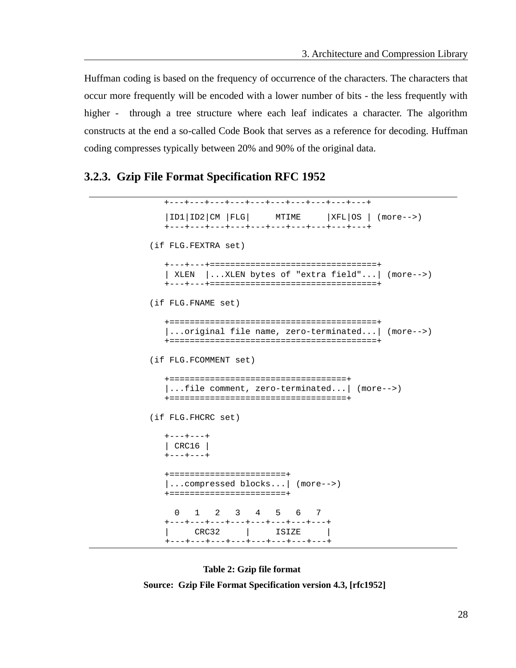Huffman coding is based on the frequency of occurrence of the characters. The characters that occur more frequently will be encoded with a lower number of bits - the less frequently with higher - through a tree structure where each leaf indicates a character. The algorithm constructs at the end a so-called Code Book that serves as a reference for decoding. Huffman coding compresses typically between 20% and 90% of the original data.

#### **3.2.3. Gzip File Format Specification RFC 1952**

```
 +---+---+---+---+---+---+---+---+---+---+
   |ID1|ID2|CM |FLG| MTIME |XFL|OS | (more--) +---+---+---+---+---+---+---+---+---+---+
 (if FLG.FEXTRA set)
    +---+---+=================================+
    | XLEN |...XLEN bytes of "extra field"...| (more-->)
   +---+---+=================================+
 (if FLG.FNAME set)
    +=========================================+
    |...original file name, zero-terminated...| (more-->)
    +=========================================+
 (if FLG.FCOMMENT set)
    +===================================+
    |...file comment, zero-terminated...| (more-->)
   +===================================+
 (if FLG.FHCRC set)
    +---+---+
    | CRC16 |
    +---+---+
    +=======================+
    |...compressed blocks...| (more-->)
    +=======================+
     0 1 2 3 4 5 6 7
    +---+---+---+---+---+---+---+---+
    | CRC32 | ISIZE |
    +---+---+---+---+---+---+---+---+
```
**Table 2: Gzip file format** 

**Source: Gzip File Format Specification version 4.3, [\[rfc1952\]](#page-50-4)**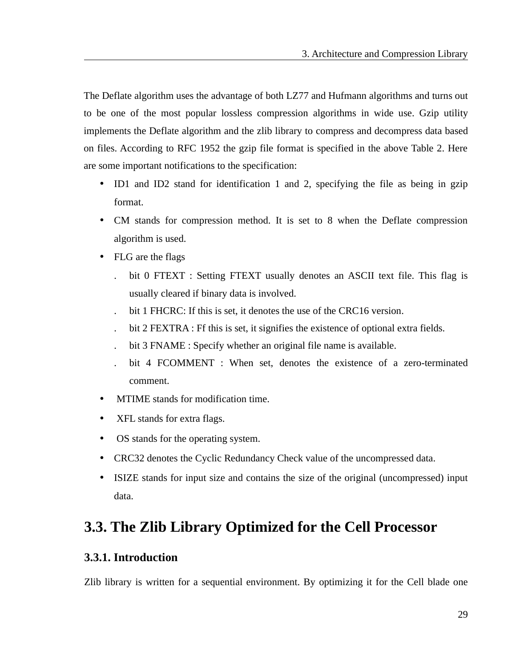The Deflate algorithm uses the advantage of both LZ77 and Hufmann algorithms and turns out to be one of the most popular lossless compression algorithms in wide use. Gzip utility implements the Deflate algorithm and the zlib library to compress and decompress data based on files. According to RFC 1952 the gzip file format is specified in the above Table 2. Here are some important notifications to the specification:

- ID1 and ID2 stand for identification 1 and 2, specifying the file as being in gzip format.
- CM stands for compression method. It is set to 8 when the Deflate compression algorithm is used.
- FLG are the flags
	- . bit 0 FTEXT : Setting FTEXT usually denotes an ASCII text file. This flag is usually cleared if binary data is involved.
	- bit 1 FHCRC: If this is set, it denotes the use of the CRC16 version.
	- . bit 2 FEXTRA : Ff this is set, it signifies the existence of optional extra fields.
	- . bit 3 FNAME : Specify whether an original file name is available.
	- bit 4 FCOMMENT : When set, denotes the existence of a zero-terminated comment.
- MTIME stands for modification time.
- XFL stands for extra flags.
- OS stands for the operating system.
- CRC32 denotes the Cyclic Redundancy Check value of the uncompressed data.
- ISIZE stands for input size and contains the size of the original (uncompressed) input data.

## **3.3. The Zlib Library Optimized for the Cell Processor**

### **3.3.1. Introduction**

Zlib library is written for a sequential environment. By optimizing it for the Cell blade one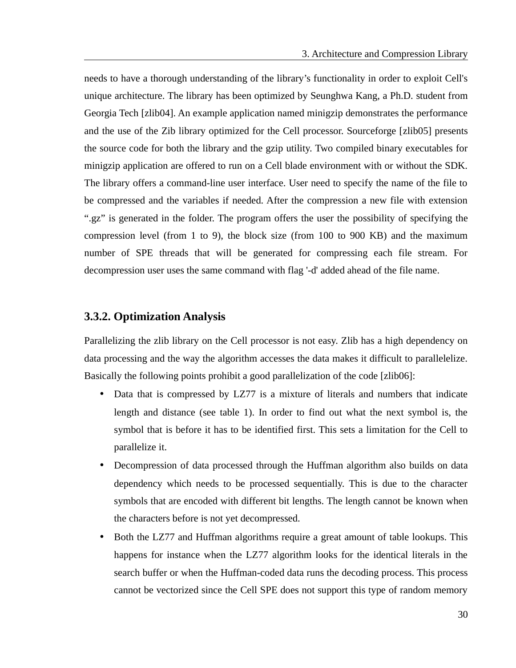needs to have a thorough understanding of the library's functionality in order to exploit Cell's unique architecture. The library has been optimized by Seunghwa Kang, a Ph.D. student from Georgia Tech [\[zlib04\]](#page-50-7). An example application named minigzip demonstrates the performance and the use of the Zib library optimized for the Cell processor. Sourceforge [\[zlib05\]](#page-50-6) presents the source code for both the library and the gzip utility. Two compiled binary executables for minigzip application are offered to run on a Cell blade environment with or without the SDK. The library offers a command-line user interface. User need to specify the name of the file to be compressed and the variables if needed. After the compression a new file with extension ".gz" is generated in the folder. The program offers the user the possibility of specifying the compression level (from 1 to 9), the block size (from 100 to 900 KB) and the maximum number of SPE threads that will be generated for compressing each file stream. For decompression user uses the same command with flag '-d' added ahead of the file name.

#### **3.3.2. Optimization Analysis**

Parallelizing the zlib library on the Cell processor is not easy. Zlib has a high dependency on data processing and the way the algorithm accesses the data makes it difficult to parallelelize. Basically the following points prohibit a good parallelization of the code [\[zlib06\]](#page-50-5):

- Data that is compressed by LZ77 is a mixture of literals and numbers that indicate length and distance (see table 1). In order to find out what the next symbol is, the symbol that is before it has to be identified first. This sets a limitation for the Cell to parallelize it.
- Decompression of data processed through the Huffman algorithm also builds on data dependency which needs to be processed sequentially. This is due to the character symbols that are encoded with different bit lengths. The length cannot be known when the characters before is not yet decompressed.
- Both the LZ77 and Huffman algorithms require a great amount of table lookups. This happens for instance when the LZ77 algorithm looks for the identical literals in the search buffer or when the Huffman-coded data runs the decoding process. This process cannot be vectorized since the Cell SPE does not support this type of random memory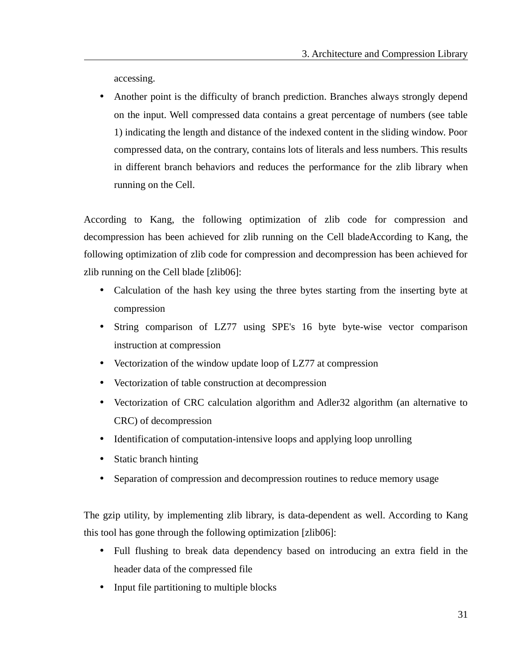accessing.

• Another point is the difficulty of branch prediction. Branches always strongly depend on the input. Well compressed data contains a great percentage of numbers (see table 1) indicating the length and distance of the indexed content in the sliding window. Poor compressed data, on the contrary, contains lots of literals and less numbers. This results in different branch behaviors and reduces the performance for the zlib library when running on the Cell.

According to Kang, the following optimization of zlib code for compression and decompression has been achieved for zlib running on the Cell bladeAccording to Kang, the following optimization of zlib code for compression and decompression has been achieved for zlib running on the Cell blade [\[zlib06\]](#page-50-5):

- Calculation of the hash key using the three bytes starting from the inserting byte at compression
- String comparison of LZ77 using SPE's 16 byte byte-wise vector comparison instruction at compression
- Vectorization of the window update loop of LZ77 at compression
- Vectorization of table construction at decompression
- Vectorization of CRC calculation algorithm and Adler32 algorithm (an alternative to CRC) of decompression
- Identification of computation-intensive loops and applying loop unrolling
- Static branch hinting
- Separation of compression and decompression routines to reduce memory usage

The gzip utility, by implementing zlib library, is data-dependent as well. According to Kang this tool has gone through the following optimization [\[zlib06\]](#page-50-5):

- Full flushing to break data dependency based on introducing an extra field in the header data of the compressed file
- Input file partitioning to multiple blocks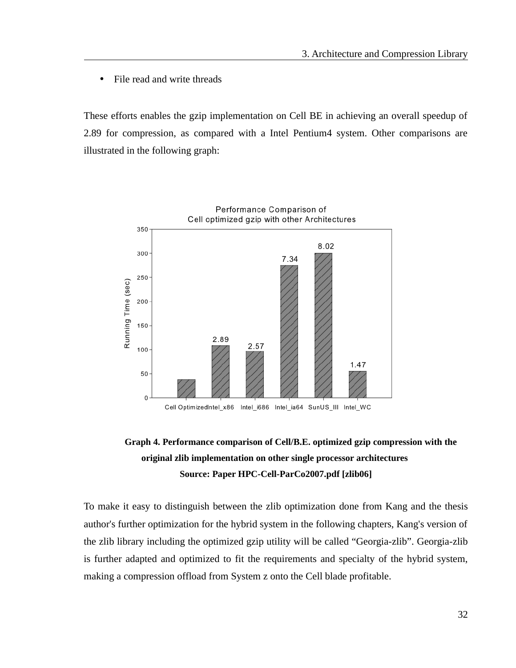• File read and write threads

These efforts enables the gzip implementation on Cell BE in achieving an overall speedup of 2.89 for compression, as compared with a Intel Pentium4 system. Other comparisons are illustrated in the following graph:



### **Graph 4. Performance comparison of Cell/B.E. optimized gzip compression with the original zlib implementation on other single processor architectures Source: Paper HPC-Cell-ParCo2007.pdf [\[zlib06\]](#page-50-5)**

To make it easy to distinguish between the zlib optimization done from Kang and the thesis author's further optimization for the hybrid system in the following chapters, Kang's version of the zlib library including the optimized gzip utility will be called "Georgia-zlib". Georgia-zlib is further adapted and optimized to fit the requirements and specialty of the hybrid system, making a compression offload from System z onto the Cell blade profitable.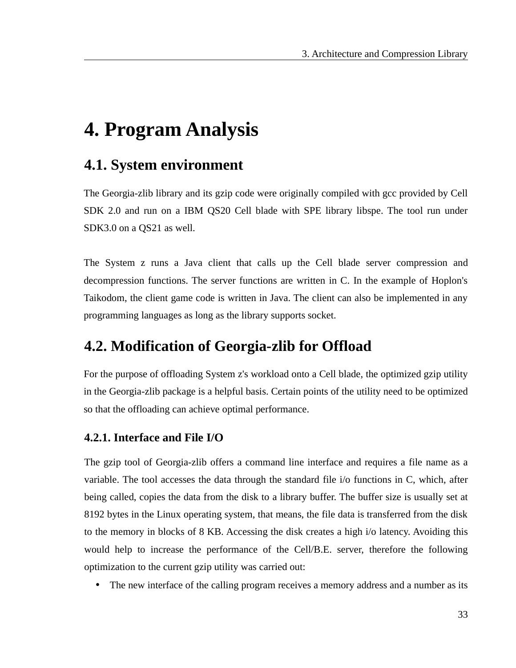# **4. Program Analysis**

## **4.1. System environment**

The Georgia-zlib library and its gzip code were originally compiled with gcc provided by Cell SDK 2.0 and run on a IBM QS20 Cell blade with SPE library libspe. The tool run under SDK3.0 on a QS21 as well.

The System z runs a Java client that calls up the Cell blade server compression and decompression functions. The server functions are written in C. In the example of Hoplon's Taikodom, the client game code is written in Java. The client can also be implemented in any programming languages as long as the library supports socket.

## **4.2. Modification of Georgia-zlib for Offload**

For the purpose of offloading System z's workload onto a Cell blade, the optimized gzip utility in the Georgia-zlib package is a helpful basis. Certain points of the utility need to be optimized so that the offloading can achieve optimal performance.

### **4.2.1. Interface and File I/O**

The gzip tool of Georgia-zlib offers a command line interface and requires a file name as a variable. The tool accesses the data through the standard file i/o functions in C, which, after being called, copies the data from the disk to a library buffer. The buffer size is usually set at 8192 bytes in the Linux operating system, that means, the file data is transferred from the disk to the memory in blocks of 8 KB. Accessing the disk creates a high i/o latency. Avoiding this would help to increase the performance of the Cell/B.E. server, therefore the following optimization to the current gzip utility was carried out:

The new interface of the calling program receives a memory address and a number as its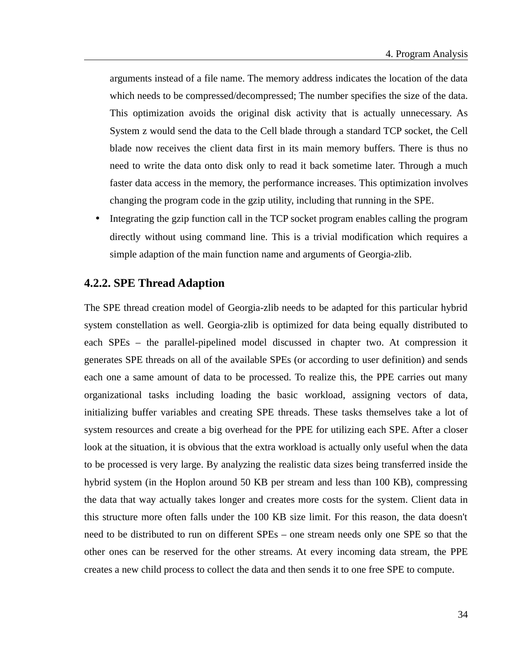arguments instead of a file name. The memory address indicates the location of the data which needs to be compressed/decompressed; The number specifies the size of the data. This optimization avoids the original disk activity that is actually unnecessary. As System z would send the data to the Cell blade through a standard TCP socket, the Cell blade now receives the client data first in its main memory buffers. There is thus no need to write the data onto disk only to read it back sometime later. Through a much faster data access in the memory, the performance increases. This optimization involves changing the program code in the gzip utility, including that running in the SPE.

• Integrating the gzip function call in the TCP socket program enables calling the program directly without using command line. This is a trivial modification which requires a simple adaption of the main function name and arguments of Georgia-zlib.

#### **4.2.2. SPE Thread Adaption**

The SPE thread creation model of Georgia-zlib needs to be adapted for this particular hybrid system constellation as well. Georgia-zlib is optimized for data being equally distributed to each SPEs – the parallel-pipelined model discussed in chapter two. At compression it generates SPE threads on all of the available SPEs (or according to user definition) and sends each one a same amount of data to be processed. To realize this, the PPE carries out many organizational tasks including loading the basic workload, assigning vectors of data, initializing buffer variables and creating SPE threads. These tasks themselves take a lot of system resources and create a big overhead for the PPE for utilizing each SPE. After a closer look at the situation, it is obvious that the extra workload is actually only useful when the data to be processed is very large. By analyzing the realistic data sizes being transferred inside the hybrid system (in the Hoplon around 50 KB per stream and less than 100 KB), compressing the data that way actually takes longer and creates more costs for the system. Client data in this structure more often falls under the 100 KB size limit. For this reason, the data doesn't need to be distributed to run on different SPEs – one stream needs only one SPE so that the other ones can be reserved for the other streams. At every incoming data stream, the PPE creates a new child process to collect the data and then sends it to one free SPE to compute.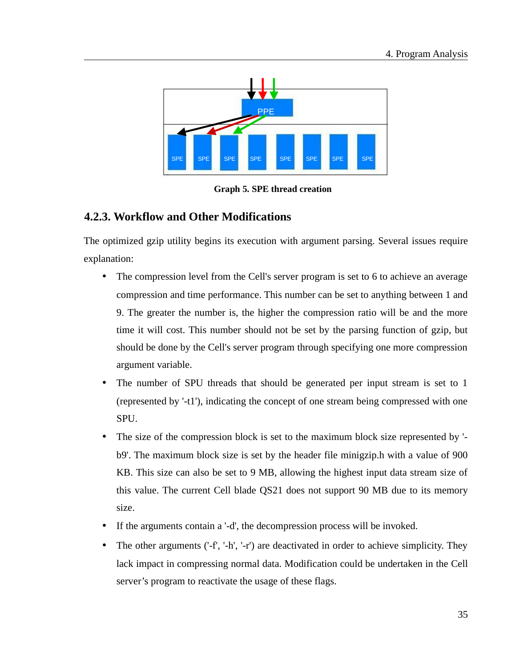

**Graph 5. SPE thread creation**

### **4.2.3. Workflow and Other Modifications**

The optimized gzip utility begins its execution with argument parsing. Several issues require explanation:

- The compression level from the Cell's server program is set to 6 to achieve an average compression and time performance. This number can be set to anything between 1 and 9. The greater the number is, the higher the compression ratio will be and the more time it will cost. This number should not be set by the parsing function of gzip, but should be done by the Cell's server program through specifying one more compression argument variable.
- The number of SPU threads that should be generated per input stream is set to 1 (represented by '-t1'), indicating the concept of one stream being compressed with one SPU.
- The size of the compression block is set to the maximum block size represented by 'b9'. The maximum block size is set by the header file minigzip.h with a value of 900 KB. This size can also be set to 9 MB, allowing the highest input data stream size of this value. The current Cell blade QS21 does not support 90 MB due to its memory size.
- If the arguments contain a '-d', the decompression process will be invoked.
- The other arguments ('-f', '-h', '-r') are deactivated in order to achieve simplicity. They lack impact in compressing normal data. Modification could be undertaken in the Cell server's program to reactivate the usage of these flags.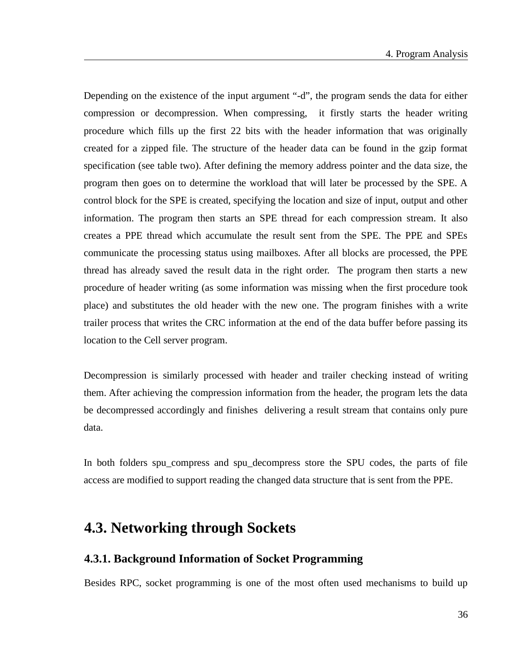Depending on the existence of the input argument "-d", the program sends the data for either compression or decompression. When compressing, it firstly starts the header writing procedure which fills up the first 22 bits with the header information that was originally created for a zipped file. The structure of the header data can be found in the gzip format specification (see table two). After defining the memory address pointer and the data size, the program then goes on to determine the workload that will later be processed by the SPE. A control block for the SPE is created, specifying the location and size of input, output and other information. The program then starts an SPE thread for each compression stream. It also creates a PPE thread which accumulate the result sent from the SPE. The PPE and SPEs communicate the processing status using mailboxes. After all blocks are processed, the PPE thread has already saved the result data in the right order. The program then starts a new procedure of header writing (as some information was missing when the first procedure took place) and substitutes the old header with the new one. The program finishes with a write trailer process that writes the CRC information at the end of the data buffer before passing its location to the Cell server program.

Decompression is similarly processed with header and trailer checking instead of writing them. After achieving the compression information from the header, the program lets the data be decompressed accordingly and finishes delivering a result stream that contains only pure data.

In both folders spu\_compress and spu\_decompress store the SPU codes, the parts of file access are modified to support reading the changed data structure that is sent from the PPE.

## **4.3. Networking through Sockets**

### **4.3.1. Background Information of Socket Programming**

Besides RPC, socket programming is one of the most often used mechanisms to build up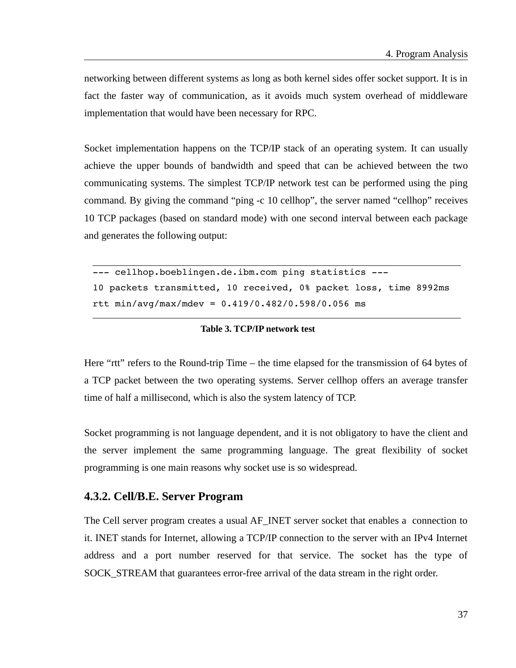networking between different systems as long as both kernel sides offer socket support. It is in fact the faster way of communication, as it avoids much system overhead of middleware implementation that would have been necessary for RPC.

Socket implementation happens on the TCP/IP stack of an operating system. It can usually achieve the upper bounds of bandwidth and speed that can be achieved between the two communicating systems. The simplest TCP/IP network test can be performed using the ping command. By giving the command "ping -c 10 cellhop", the server named "cellhop" receives 10 TCP packages (based on standard mode) with one second interval between each package and generates the following output:

```
--- cellhop.boeblingen.de.ibm.com ping statistics ---
10 packets transmitted, 10 received, 0% packet loss, time 8992ms 
rtt min/avg/max/mdev = 0.419/0.482/0.598/0.056 ms
```
#### **Table 3. TCP/IP network test**

Here "rtt" refers to the Round-trip Time – the time elapsed for the transmission of 64 bytes of a TCP packet between the two operating systems. Server cellhop offers an average transfer time of half a millisecond, which is also the system latency of TCP.

Socket programming is not language dependent, and it is not obligatory to have the client and the server implement the same programming language. The great flexibility of socket programming is one main reasons why socket use is so widespread.

#### **4.3.2. Cell/B.E. Server Program**

The Cell server program creates a usual AF\_INET server socket that enables a connection to it. INET stands for Internet, allowing a TCP/IP connection to the server with an IPv4 Internet address and a port number reserved for that service. The socket has the type of SOCK\_STREAM that guarantees error-free arrival of the data stream in the right order.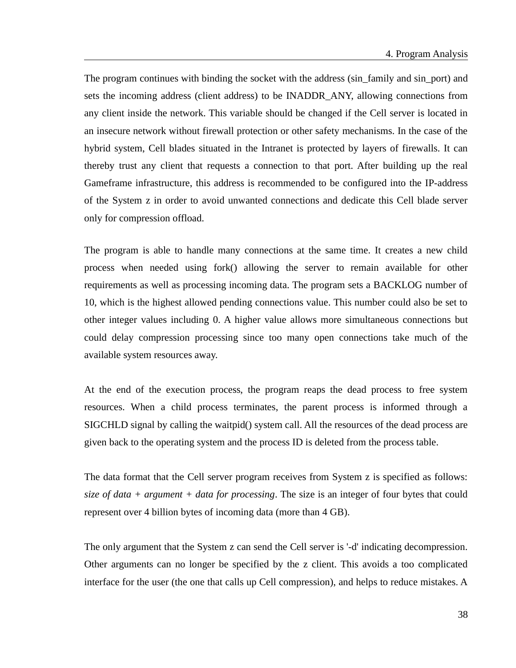The program continues with binding the socket with the address (sin\_family and sin\_port) and sets the incoming address (client address) to be INADDR\_ANY, allowing connections from any client inside the network. This variable should be changed if the Cell server is located in an insecure network without firewall protection or other safety mechanisms. In the case of the hybrid system, Cell blades situated in the Intranet is protected by layers of firewalls. It can thereby trust any client that requests a connection to that port. After building up the real Gameframe infrastructure, this address is recommended to be configured into the IP-address of the System z in order to avoid unwanted connections and dedicate this Cell blade server only for compression offload.

The program is able to handle many connections at the same time. It creates a new child process when needed using fork() allowing the server to remain available for other requirements as well as processing incoming data. The program sets a BACKLOG number of 10, which is the highest allowed pending connections value. This number could also be set to other integer values including 0. A higher value allows more simultaneous connections but could delay compression processing since too many open connections take much of the available system resources away.

At the end of the execution process, the program reaps the dead process to free system resources. When a child process terminates, the parent process is informed through a SIGCHLD signal by calling the waitpid() system call. All the resources of the dead process are given back to the operating system and the process ID is deleted from the process table.

The data format that the Cell server program receives from System z is specified as follows: *size of data + argument + data for processing*. The size is an integer of four bytes that could represent over 4 billion bytes of incoming data (more than 4 GB).

The only argument that the System z can send the Cell server is '-d' indicating decompression. Other arguments can no longer be specified by the z client. This avoids a too complicated interface for the user (the one that calls up Cell compression), and helps to reduce mistakes. A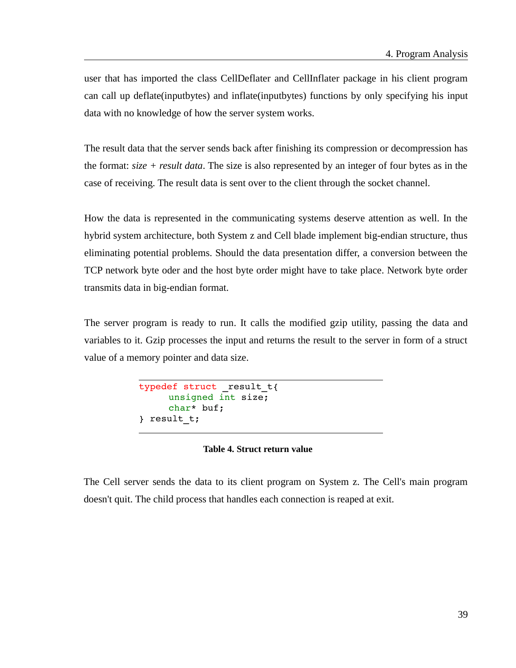user that has imported the class CellDeflater and CellInflater package in his client program can call up deflate(inputbytes) and inflate(inputbytes) functions by only specifying his input data with no knowledge of how the server system works.

The result data that the server sends back after finishing its compression or decompression has the format: *size + result data*. The size is also represented by an integer of four bytes as in the case of receiving. The result data is sent over to the client through the socket channel.

How the data is represented in the communicating systems deserve attention as well. In the hybrid system architecture, both System z and Cell blade implement big-endian structure, thus eliminating potential problems. Should the data presentation differ, a conversion between the TCP network byte oder and the host byte order might have to take place. Network byte order transmits data in big-endian format.

The server program is ready to run. It calls the modified gzip utility, passing the data and variables to it. Gzip processes the input and returns the result to the server in form of a struct value of a memory pointer and data size.

```
typedef struct result t{
     unsigned int size; 
     char* buf; 
} result_t;
```
#### **Table 4. Struct return value**

The Cell server sends the data to its client program on System z. The Cell's main program doesn't quit. The child process that handles each connection is reaped at exit.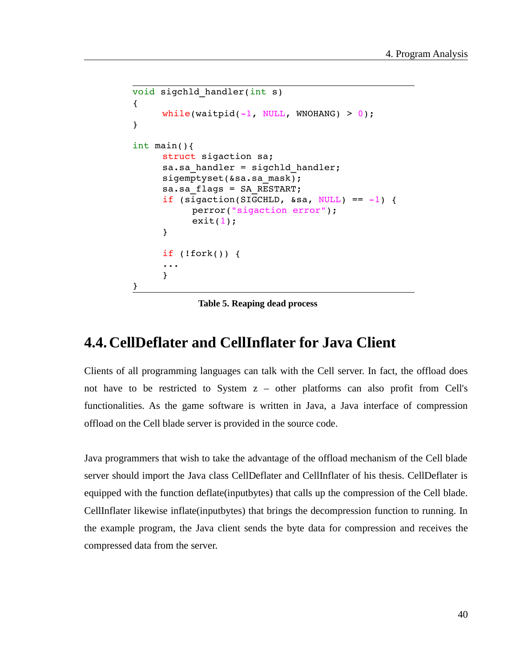```
void sigchld handler(int s)
{ 
     while(waitpid(-1, NULL, WNOHANG) > 0);
}
int main(){
     struct sigaction sa;
     sa.sa handler = sigchld handler;
     sigemptyset(&sa.sa_mask);
     sa.sa_flags = SA_RESTART; 
     if (sigaction(SIGCHLD, &sa, NULL) == -1) {
          perror("sigaction error"); 
           exit(1);}
     if (!fork()) {
     ...
     }
}
```
**Table 5. Reaping dead process**

## **4.4.CellDeflater and CellInflater for Java Client**

Clients of all programming languages can talk with the Cell server. In fact, the offload does not have to be restricted to System z – other platforms can also profit from Cell's functionalities. As the game software is written in Java, a Java interface of compression offload on the Cell blade server is provided in the source code.

Java programmers that wish to take the advantage of the offload mechanism of the Cell blade server should import the Java class CellDeflater and CellInflater of his thesis. CellDeflater is equipped with the function deflate(inputbytes) that calls up the compression of the Cell blade. CellInflater likewise inflate(inputbytes) that brings the decompression function to running. In the example program, the Java client sends the byte data for compression and receives the compressed data from the server.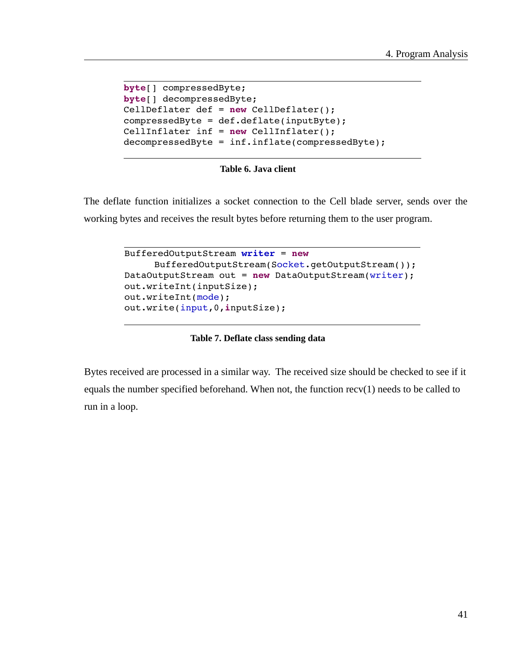```
byte[] compressedByte;
byte[] decompressedByte;
CellDeflater def = new CellDeflater();
compressedByte = def.deflate(inputByte);
CellInflater inf = new CellInflater();
decompressedByte = inf.inflate(compressedByte);
```
**Table 6. Java client**

The deflate function initializes a socket connection to the Cell blade server, sends over the working bytes and receives the result bytes before returning them to the user program.

```
BufferedOutputStream writer = new 
     BufferedOutputStream(Socket.getOutputStream());
DataOutputStream out = new DataOutputStream(writer);
out.writeInt(inputSize);
out.writeInt(mode);
out.write(input,0,inputSize);
```
**Table 7. Deflate class sending data**

Bytes received are processed in a similar way. The received size should be checked to see if it equals the number specified beforehand. When not, the function recv(1) needs to be called to run in a loop.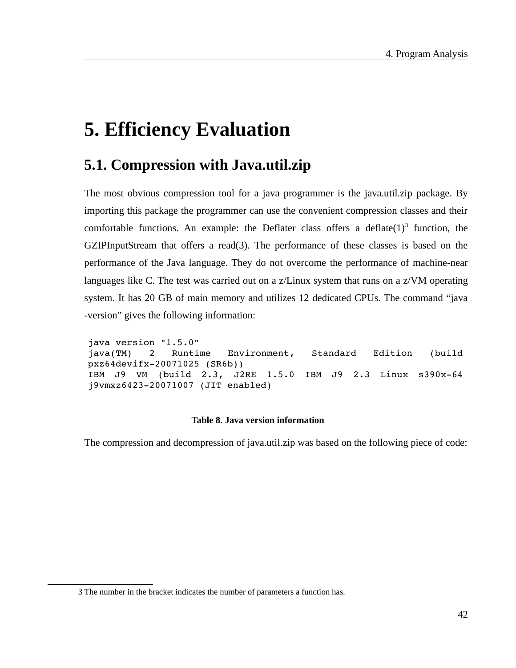# **5. Efficiency Evaluation**

## **5.1. Compression with Java.util.zip**

The most obvious compression tool for a java programmer is the java.util.zip package. By importing this package the programmer can use the convenient compression classes and their comfortable functions. An example: the Deflater class offers a deflate $(1)^3$  $(1)^3$  function, the GZIPInputStream that offers a read(3). The performance of these classes is based on the performance of the Java language. They do not overcome the performance of machine-near languages like C. The test was carried out on a z/Linux system that runs on a z/VM operating system. It has 20 GB of main memory and utilizes 12 dedicated CPUs. The command "java -version" gives the following information:

```
java version "1.5.0" 
java(TM)   2   Runtime   Environment,   Standard   Edition   (build
pxz64devifx20071025 (SR6b)) 
IBM   J9   VM   (build   2.3,   J2RE   1.5.0   IBM   J9   2.3   Linux   s390x-64
j9vmxz6423-20071007 (JIT enabled)
```
#### **Table 8. Java version information**

The compression and decompression of java.util.zip was based on the following piece of code:

<span id="page-41-0"></span><sup>3</sup> The number in the bracket indicates the number of parameters a function has.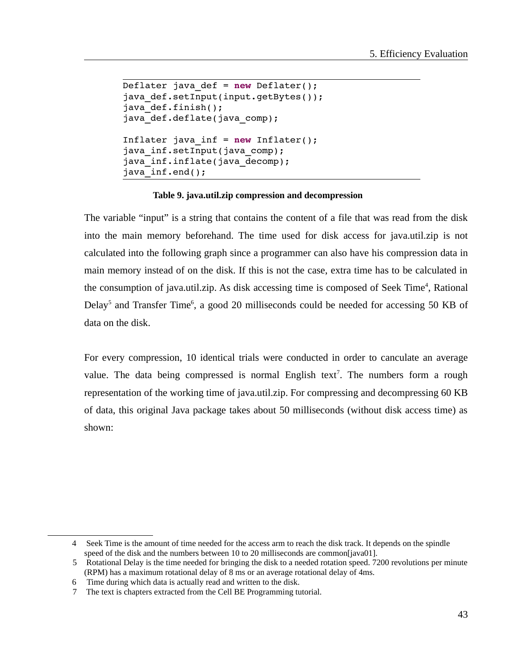```
Deflater java_def = new Deflater();
java def.setInput(input.getBytes());
java def.finish();
java<sup>d</sup>def.deflate(java comp);
Inflater java_inf = new Inflater();
java inf.setInput(java comp);
java inf.inflate(java decomp);
java inf.end();
```
#### **Table 9. java.util.zip compression and decompression**

The variable "input" is a string that contains the content of a file that was read from the disk into the main memory beforehand. The time used for disk access for java.util.zip is not calculated into the following graph since a programmer can also have his compression data in main memory instead of on the disk. If this is not the case, extra time has to be calculated in the consumption of java.util.zip. As disk accessing time is composed of Seek Time<sup>[4](#page-42-0)</sup>, Rational Delay<sup>[5](#page-42-1)</sup> and Transfer Time<sup>[6](#page-42-2)</sup>, a good 20 milliseconds could be needed for accessing 50 KB of data on the disk.

For every compression, 10 identical trials were conducted in order to canculate an average value. The data being compressed is normal English text<sup>[7](#page-42-3)</sup>. The numbers form a rough representation of the working time of java.util.zip. For compressing and decompressing 60 KB of data, this original Java package takes about 50 milliseconds (without disk access time) as shown:

<span id="page-42-0"></span><sup>4</sup> Seek Time is the amount of time needed for the access arm to reach the disk track. It depends on the spindle speed of the disk and the numbers between 10 to 20 milliseconds are common[\[java01\]](#page-50-8).

<span id="page-42-1"></span><sup>5</sup> Rotational Delay is the time needed for bringing the disk to a needed rotation speed. 7200 revolutions per minute (RPM) has a maximum rotational delay of 8 ms or an average rotational delay of 4ms.

<span id="page-42-2"></span><sup>6</sup> Time during which data is actually read and written to the disk.

<span id="page-42-3"></span><sup>7</sup> The text is chapters extracted from the Cell BE Programming tutorial.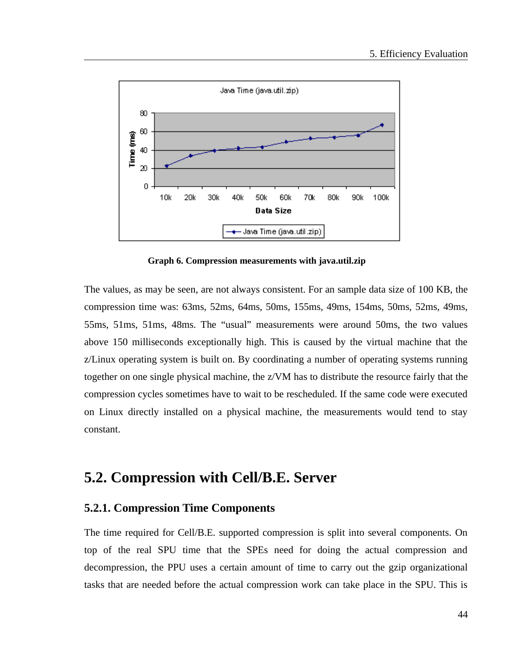

**Graph 6. Compression measurements with java.util.zip** 

The values, as may be seen, are not always consistent. For an sample data size of 100 KB, the compression time was: 63ms, 52ms, 64ms, 50ms, 155ms, 49ms, 154ms, 50ms, 52ms, 49ms, 55ms, 51ms, 51ms, 48ms. The "usual" measurements were around 50ms, the two values above 150 milliseconds exceptionally high. This is caused by the virtual machine that the z/Linux operating system is built on. By coordinating a number of operating systems running together on one single physical machine, the z/VM has to distribute the resource fairly that the compression cycles sometimes have to wait to be rescheduled. If the same code were executed on Linux directly installed on a physical machine, the measurements would tend to stay constant.

## **5.2. Compression with Cell/B.E. Server**

#### **5.2.1. Compression Time Components**

The time required for Cell/B.E. supported compression is split into several components. On top of the real SPU time that the SPEs need for doing the actual compression and decompression, the PPU uses a certain amount of time to carry out the gzip organizational tasks that are needed before the actual compression work can take place in the SPU. This is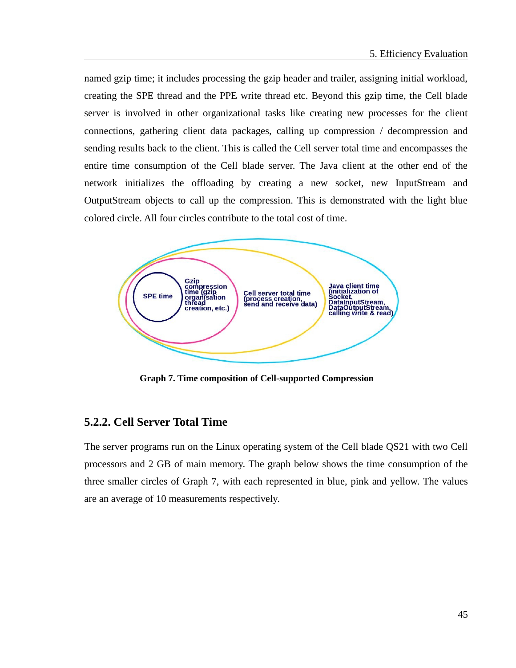named gzip time; it includes processing the gzip header and trailer, assigning initial workload, creating the SPE thread and the PPE write thread etc. Beyond this gzip time, the Cell blade server is involved in other organizational tasks like creating new processes for the client connections, gathering client data packages, calling up compression / decompression and sending results back to the client. This is called the Cell server total time and encompasses the entire time consumption of the Cell blade server. The Java client at the other end of the network initializes the offloading by creating a new socket, new InputStream and OutputStream objects to call up the compression. This is demonstrated with the light blue colored circle. All four circles contribute to the total cost of time.



**Graph 7. Time composition of Cell-supported Compression** 

### **5.2.2. Cell Server Total Time**

The server programs run on the Linux operating system of the Cell blade QS21 with two Cell processors and 2 GB of main memory. The graph below shows the time consumption of the three smaller circles of Graph 7, with each represented in blue, pink and yellow. The values are an average of 10 measurements respectively.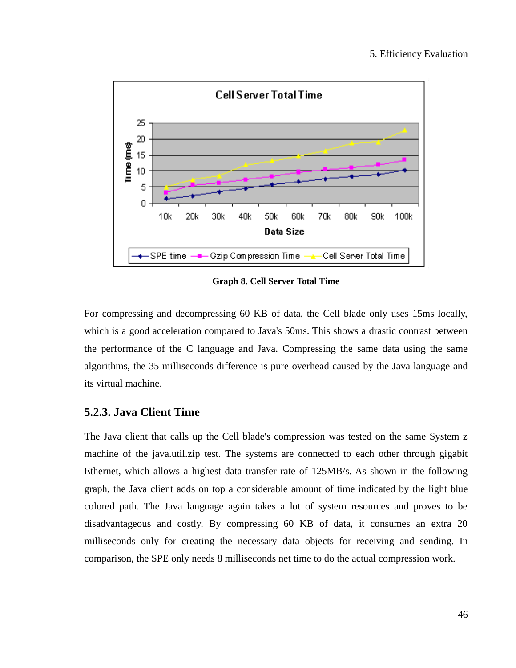

**Graph 8. Cell Server Total Time**

For compressing and decompressing 60 KB of data, the Cell blade only uses 15ms locally, which is a good acceleration compared to Java's 50ms. This shows a drastic contrast between the performance of the C language and Java. Compressing the same data using the same algorithms, the 35 milliseconds difference is pure overhead caused by the Java language and its virtual machine.

### **5.2.3. Java Client Time**

The Java client that calls up the Cell blade's compression was tested on the same System z machine of the java.util.zip test. The systems are connected to each other through gigabit Ethernet, which allows a highest data transfer rate of 125MB/s. As shown in the following graph, the Java client adds on top a considerable amount of time indicated by the light blue colored path. The Java language again takes a lot of system resources and proves to be disadvantageous and costly. By compressing 60 KB of data, it consumes an extra 20 milliseconds only for creating the necessary data objects for receiving and sending. In comparison, the SPE only needs 8 milliseconds net time to do the actual compression work.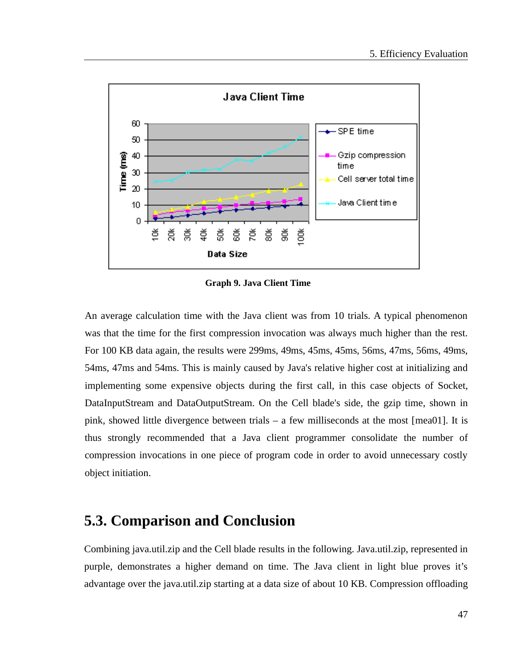

**Graph 9. Java Client Time**

An average calculation time with the Java client was from 10 trials. A typical phenomenon was that the time for the first compression invocation was always much higher than the rest. For 100 KB data again, the results were 299ms, 49ms, 45ms, 45ms, 56ms, 47ms, 56ms, 49ms, 54ms, 47ms and 54ms. This is mainly caused by Java's relative higher cost at initializing and implementing some expensive objects during the first call, in this case objects of Socket, DataInputStream and DataOutputStream. On the Cell blade's side, the gzip time, shown in pink, showed little divergence between trials – a few milliseconds at the most [\[mea01\]](#page-50-9). It is thus strongly recommended that a Java client programmer consolidate the number of compression invocations in one piece of program code in order to avoid unnecessary costly object initiation.

## **5.3. Comparison and Conclusion**

Combining java.util.zip and the Cell blade results in the following. Java.util.zip, represented in purple, demonstrates a higher demand on time. The Java client in light blue proves it's advantage over the java.util.zip starting at a data size of about 10 KB. Compression offloading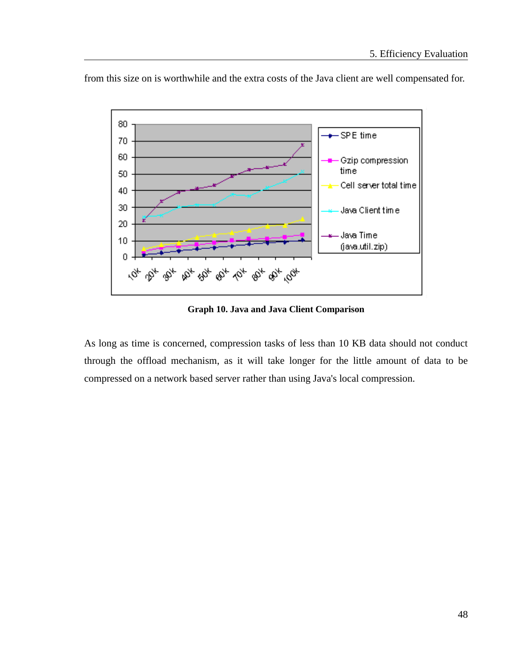

from this size on is worthwhile and the extra costs of the Java client are well compensated for.

**Graph 10. Java and Java Client Comparison**

As long as time is concerned, compression tasks of less than 10 KB data should not conduct through the offload mechanism, as it will take longer for the little amount of data to be compressed on a network based server rather than using Java's local compression.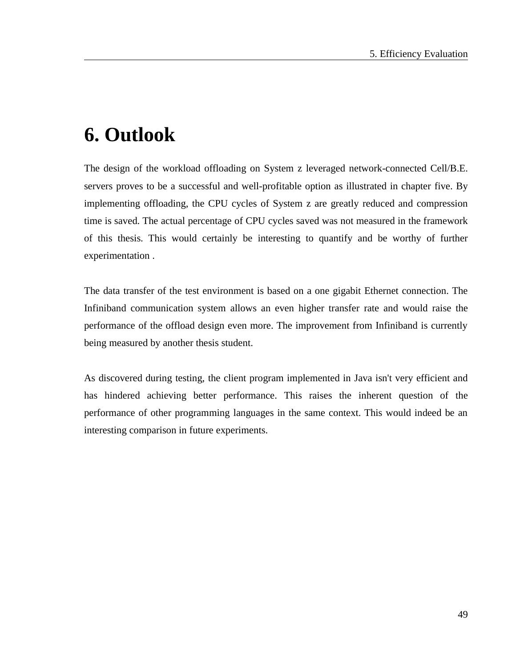# **6. Outlook**

The design of the workload offloading on System z leveraged network-connected Cell/B.E. servers proves to be a successful and well-profitable option as illustrated in chapter five. By implementing offloading, the CPU cycles of System z are greatly reduced and compression time is saved. The actual percentage of CPU cycles saved was not measured in the framework of this thesis. This would certainly be interesting to quantify and be worthy of further experimentation .

The data transfer of the test environment is based on a one gigabit Ethernet connection. The Infiniband communication system allows an even higher transfer rate and would raise the performance of the offload design even more. The improvement from Infiniband is currently being measured by another thesis student.

As discovered during testing, the client program implemented in Java isn't very efficient and has hindered achieving better performance. This raises the inherent question of the performance of other programming languages in the same context. This would indeed be an interesting comparison in future experiments.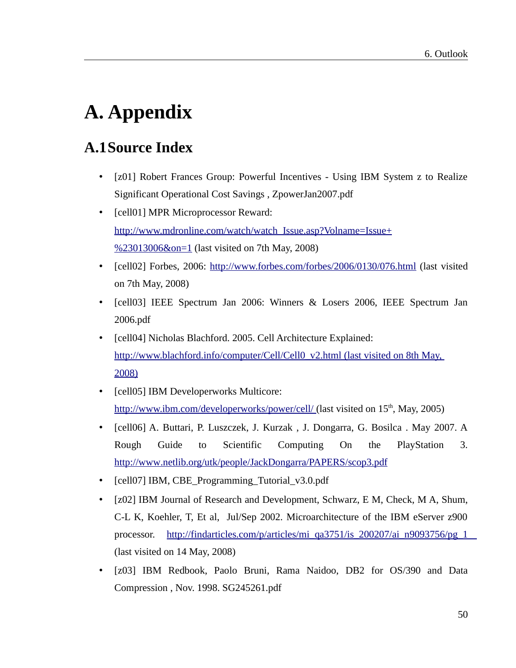# **A. Appendix**

## **A.1Source Index**

- <span id="page-49-0"></span>• [z01] Robert Frances Group: Powerful Incentives - Using IBM System z to Realize Significant Operational Cost Savings , ZpowerJan2007.pdf
- <span id="page-49-3"></span>• [cell01] MPR Microprocessor Reward: http://www.mdronline.com/watch/watch\_Issue.asp?Volname=Issue+ %23013006&on=1 (last visited on 7th May, 2008)
- <span id="page-49-2"></span>• [cell02] Forbes, 2006:<http://www.forbes.com/forbes/2006/0130/076.html>(last visited on 7th May, 2008)
- <span id="page-49-1"></span>• [cell03] IEEE Spectrum Jan 2006: Winners & Losers 2006, IEEE Spectrum Jan 2006.pdf
- [cell04] Nicholas Blachford. 2005. Cell Architecture Explained:  [http://www.blachford.info/computer/Cell/Cell0\\_v2.html \(last visited on 8th May,](http://www.blachford.info/computer/Cell/Cell0_v2.html) [2008\)](http://www.blachford.info/computer/Cell/Cell0_v2.html)
- [cell05] IBM Developerworks Multicore: http://www.ibm.com/developerworks/power/cell/ (last visited on 15<sup>th</sup>, May, 2005)
- [cell06] A. Buttari, P. Luszczek, J. Kurzak , J. Dongarra, G. Bosilca . May 2007. A Rough Guide to Scientific Computing On the PlayStation 3. http://ww[w .n etlib.org/utk/people/JackDongarra/PAPERS/scop3.pdf](http://www.netlib.org/utk/people/JackDongarra/PAPERS/scop3.pdf)
- [cell07] IBM, CBE\_Programming\_Tutorial\_v3.0.pdf
- [z02] IBM Journal of Research and Development, Schwarz, E M, Check, M A, Shum, C-L K, Koehler, T, Et al, Jul/Sep 2002. Microarchitecture of the IBM eServer z900 processor. [http://findarticles.com/p/articles/mi\\_qa3751/is\\_200207/ai\\_n9093756/pg\\_1](http://findarticles.com/p/articles/mi_qa3751/is_200207/ai_n9093756/pg_1) (last visited on 14 May, 2008)
- <span id="page-49-4"></span>[z03] IBM Redbook, Paolo Bruni, Rama Naidoo, DB2 for OS/390 and Data Compression , Nov. 1998. SG245261.pdf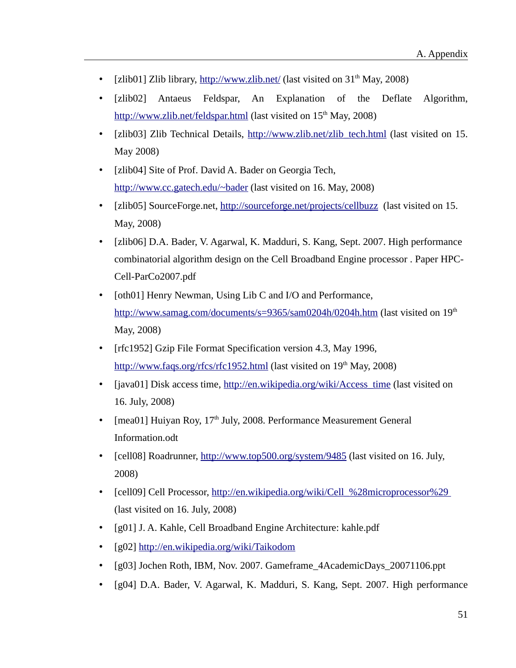- [zlib01] Zlib library,<http://www.zlib.net/>(last visited on  $31<sup>th</sup>$  May, 2008)
- [zlib02] Antaeus Feldspar, An Explanation of the Deflate Algorithm, <http://www.zlib.net/feldspar.html>(last visited on 15<sup>th</sup> May, 2008)
- <span id="page-50-3"></span>[zlib03] Zlib Technical Details, [http://www.zlib.net/zlib\\_tech.html](http://www.zlib.net/zlib_tech.html) (last visited on 15. May 2008)
- <span id="page-50-7"></span>• [zlib04] Site of Prof. David A. Bader on Georgia Tech, <http://www.cc.gatech.edu/~bader>(last visited on 16. May, 2008)
- <span id="page-50-6"></span>• [zlib05] SourceForge.net,<http://sourceforge.net/projects/cellbuzz>(last visited on 15. May, 2008)
- <span id="page-50-5"></span>• [zlib06] D.A. Bader, V. Agarwal, K. Madduri, S. Kang, Sept. 2007. High performance combinatorial algorithm design on the Cell Broadband Engine processor . Paper HPC-Cell-ParCo2007.pdf
- [oth01] Henry Newman, Using Lib C and I/O and Performance, <http://www.samag.com/documents/s=9365/sam0204h/0204h.htm>(last visited on 19<sup>th</sup>) May, 2008)
- <span id="page-50-4"></span>• [rfc1952] Gzip File Format Specification version 4.3, May 1996, [http://www.faqs.org/rfcs/rfc1952.html](http://www.faqs.org/rfcs/rfc1951.html) (last visited on 19<sup>th</sup> May, 2008)
- <span id="page-50-8"></span>• [java01] Disk access time, [http://en.wikipedia.org/wiki/Access\\_time](http://en.wikipedia.org/wiki/Access_time) (last visited on 16. July, 2008)
- <span id="page-50-9"></span>• [mea01] Huiyan Roy,  $17<sup>th</sup>$  July, 2008. Performance Measurement General Information.odt
- <span id="page-50-0"></span>• [cell08] Roadrunner,<http://www.top500.org/system/9485> [\(last visited on 16. July,](http://www.top500.org/system/9485) [2008\)](http://www.top500.org/system/9485)
- [cell09] Cell Processor, http://en.wikipedia.org/wiki/Cell %28microprocessor%29 (last visited on 16. July, 2008)
- <span id="page-50-1"></span>• [g01] J. A. Kahle, Cell Broadband Engine Architecture: kahle.pdf
- [g02]<http://en.wikipedia.org/wiki/Taikodom>
- <span id="page-50-2"></span>• [g03] Jochen Roth, IBM, Nov. 2007. Gameframe\_4AcademicDays\_20071106.ppt
- [g04] D.A. Bader, V. Agarwal, K. Madduri, S. Kang, Sept. 2007. High performance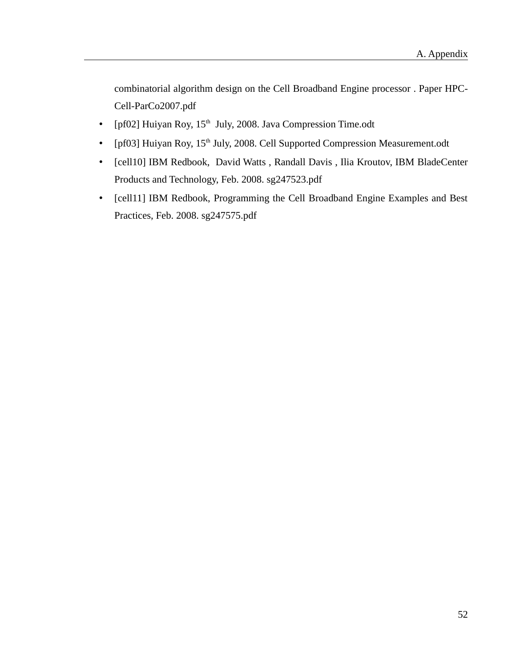combinatorial algorithm design on the Cell Broadband Engine processor . Paper HPC-Cell-ParCo2007.pdf

- [pf02] Huiyan Roy,  $15<sup>th</sup>$  July, 2008. Java Compression Time.odt
- [pf03] Huiyan Roy, 15<sup>th</sup> July, 2008. Cell Supported Compression Measurement.odt
- [cell10] IBM Redbook, David Watts , Randall Davis , Ilia Kroutov, IBM BladeCenter Products and Technology, Feb. 2008. sg247523.pdf
- [cell11] IBM Redbook, Programming the Cell Broadband Engine Examples and Best Practices, Feb. 2008. sg247575.pdf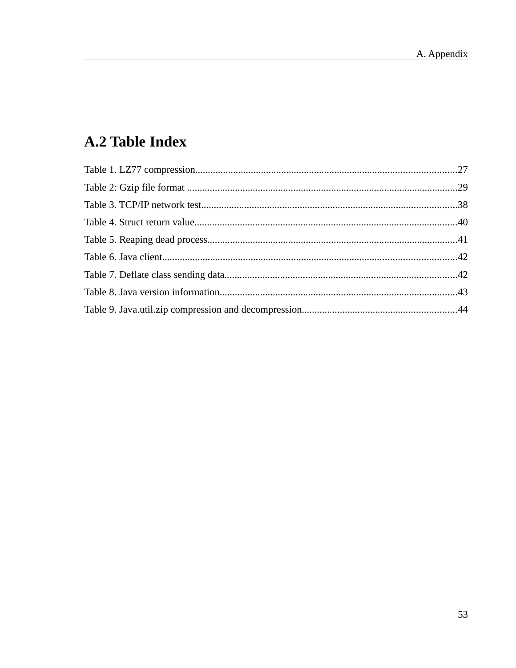# A.2 Table Index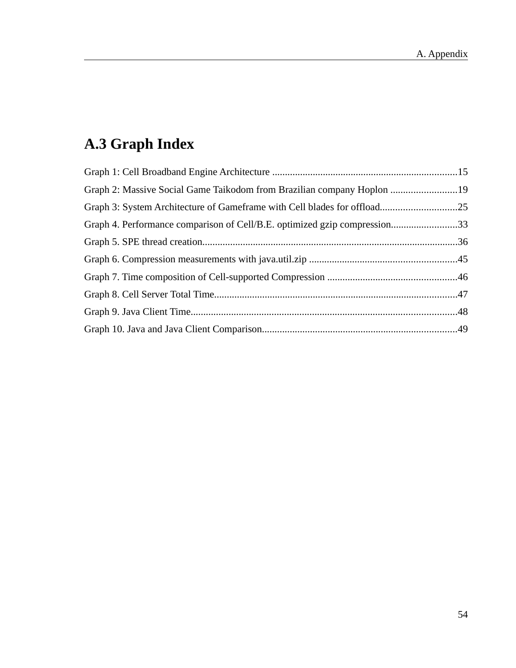# **A.3 Graph Index**

| Graph 2: Massive Social Game Taikodom from Brazilian company Hoplon 19    |  |
|---------------------------------------------------------------------------|--|
| Graph 3: System Architecture of Gameframe with Cell blades for offload25  |  |
| Graph 4. Performance comparison of Cell/B.E. optimized gzip compression33 |  |
|                                                                           |  |
|                                                                           |  |
|                                                                           |  |
|                                                                           |  |
|                                                                           |  |
|                                                                           |  |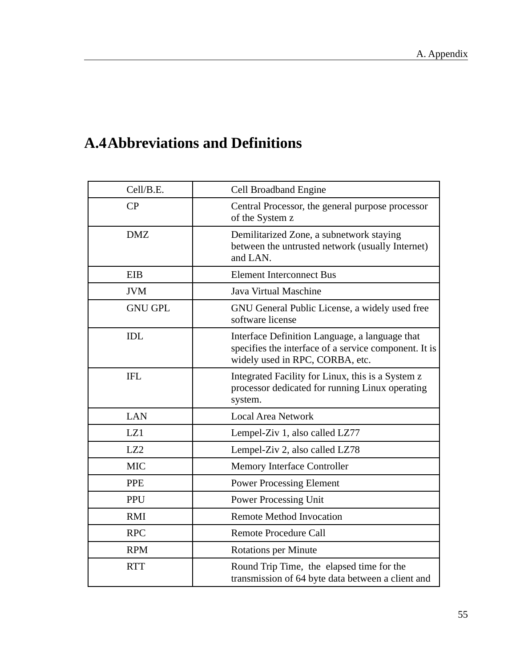## **A.4Abbreviations and Definitions**

| Cell/B.E.       | <b>Cell Broadband Engine</b>                                                                                                               |
|-----------------|--------------------------------------------------------------------------------------------------------------------------------------------|
| CP              | Central Processor, the general purpose processor<br>of the System z                                                                        |
| <b>DMZ</b>      | Demilitarized Zone, a subnetwork staying<br>between the untrusted network (usually Internet)<br>and LAN.                                   |
| EIB             | <b>Element Interconnect Bus</b>                                                                                                            |
| <b>JVM</b>      | Java Virtual Maschine                                                                                                                      |
| <b>GNU GPL</b>  | GNU General Public License, a widely used free<br>software license                                                                         |
| <b>IDL</b>      | Interface Definition Language, a language that<br>specifies the interface of a service component. It is<br>widely used in RPC, CORBA, etc. |
| <b>IFL</b>      | Integrated Facility for Linux, this is a System z<br>processor dedicated for running Linux operating<br>system.                            |
| <b>LAN</b>      | <b>Local Area Network</b>                                                                                                                  |
| LZ1             | Lempel-Ziv 1, also called LZ77                                                                                                             |
| LZ <sub>2</sub> | Lempel-Ziv 2, also called LZ78                                                                                                             |
| <b>MIC</b>      | <b>Memory Interface Controller</b>                                                                                                         |
| <b>PPE</b>      | <b>Power Processing Element</b>                                                                                                            |
| PPU             | <b>Power Processing Unit</b>                                                                                                               |
| RMI             | <b>Remote Method Invocation</b>                                                                                                            |
| <b>RPC</b>      | <b>Remote Procedure Call</b>                                                                                                               |
| <b>RPM</b>      | <b>Rotations per Minute</b>                                                                                                                |
| <b>RTT</b>      | Round Trip Time, the elapsed time for the<br>transmission of 64 byte data between a client and                                             |